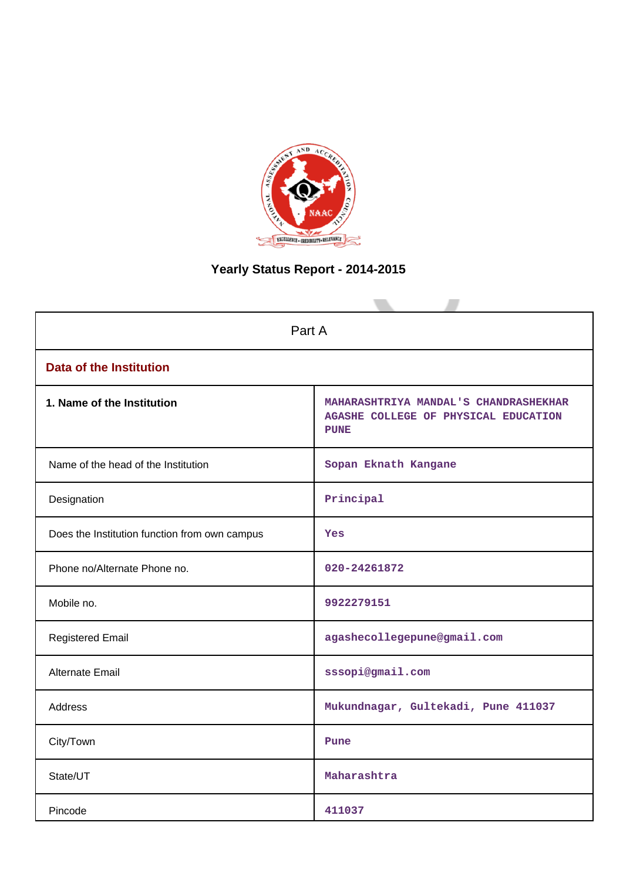

# **Yearly Status Report - 2014-2015**

| Part A                                        |                                                                                              |  |  |  |
|-----------------------------------------------|----------------------------------------------------------------------------------------------|--|--|--|
| <b>Data of the Institution</b>                |                                                                                              |  |  |  |
| 1. Name of the Institution                    | MAHARASHTRIYA MANDAL'S CHANDRASHEKHAR<br>AGASHE COLLEGE OF PHYSICAL EDUCATION<br><b>PUNE</b> |  |  |  |
| Name of the head of the Institution           | Sopan Eknath Kangane                                                                         |  |  |  |
| Designation                                   | Principal                                                                                    |  |  |  |
| Does the Institution function from own campus | Yes                                                                                          |  |  |  |
| Phone no/Alternate Phone no.                  | 020-24261872                                                                                 |  |  |  |
| Mobile no.                                    | 9922279151                                                                                   |  |  |  |
| <b>Registered Email</b>                       | agashecollegepune@gmail.com                                                                  |  |  |  |
| <b>Alternate Email</b>                        | sssopi@gmail.com                                                                             |  |  |  |
| <b>Address</b>                                | Mukundnagar, Gultekadi, Pune 411037                                                          |  |  |  |
| City/Town                                     | Pune                                                                                         |  |  |  |
| State/UT                                      | Maharashtra                                                                                  |  |  |  |
| Pincode                                       | 411037                                                                                       |  |  |  |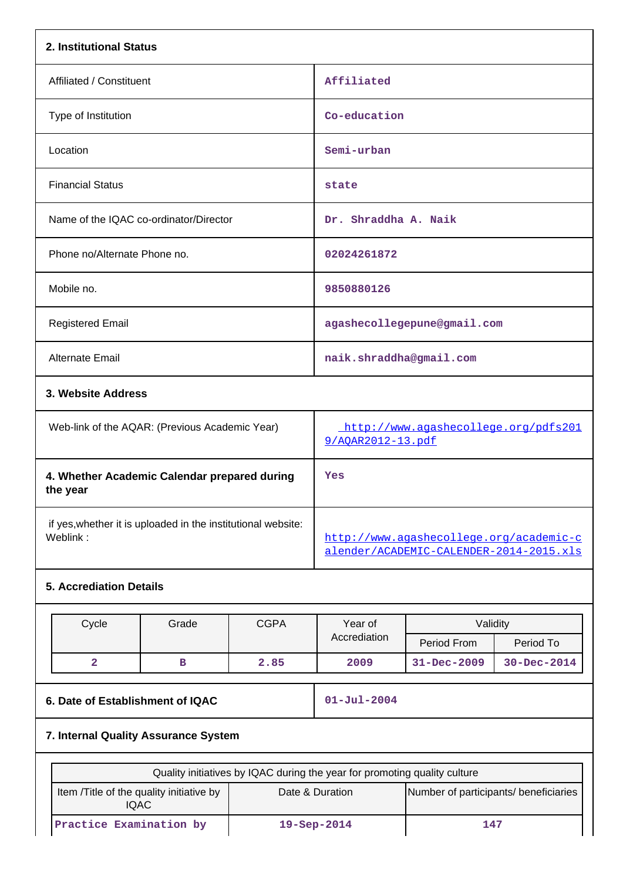| 2. Institutional Status                                                  |       |             |                                                                           |                                                                                    |                   |  |
|--------------------------------------------------------------------------|-------|-------------|---------------------------------------------------------------------------|------------------------------------------------------------------------------------|-------------------|--|
| Affiliated / Constituent                                                 |       |             | Affiliated                                                                |                                                                                    |                   |  |
| Type of Institution                                                      |       |             |                                                                           | Co-education                                                                       |                   |  |
| Location                                                                 |       |             | Semi-urban                                                                |                                                                                    |                   |  |
| <b>Financial Status</b>                                                  |       |             | state                                                                     |                                                                                    |                   |  |
| Name of the IQAC co-ordinator/Director                                   |       |             | Dr. Shraddha A. Naik                                                      |                                                                                    |                   |  |
| Phone no/Alternate Phone no.                                             |       |             | 02024261872                                                               |                                                                                    |                   |  |
| Mobile no.                                                               |       |             | 9850880126                                                                |                                                                                    |                   |  |
| <b>Registered Email</b>                                                  |       |             |                                                                           | agashecollegepune@gmail.com                                                        |                   |  |
| Alternate Email                                                          |       |             | naik.shraddha@gmail.com                                                   |                                                                                    |                   |  |
| 3. Website Address                                                       |       |             |                                                                           |                                                                                    |                   |  |
| Web-link of the AQAR: (Previous Academic Year)                           |       |             | http://www.agashecollege.org/pdfs201<br>9/AQAR2012-13.pdf                 |                                                                                    |                   |  |
| 4. Whether Academic Calendar prepared during<br>the year                 |       |             | Yes                                                                       |                                                                                    |                   |  |
| if yes, whether it is uploaded in the institutional website:<br>Weblink: |       |             |                                                                           | http://www.aqashecollege.org/academic-c<br>alender/ACADEMIC-CALENDER-2014-2015.xls |                   |  |
| <b>5. Accrediation Details</b>                                           |       |             |                                                                           |                                                                                    |                   |  |
| Cycle                                                                    | Grade | <b>CGPA</b> | Year of<br>Accrediation                                                   | Validity<br>Period From                                                            | Period To         |  |
| $\overline{\mathbf{2}}$                                                  | в     | 2.85        | 2009                                                                      | $31 - Dec - 2009$                                                                  | $30 - Dec - 2014$ |  |
| 6. Date of Establishment of IQAC                                         |       |             | $01 - Jul - 2004$                                                         |                                                                                    |                   |  |
| 7. Internal Quality Assurance System                                     |       |             |                                                                           |                                                                                    |                   |  |
|                                                                          |       |             | Quality initiatives by IQAC during the year for promoting quality culture |                                                                                    |                   |  |
| Item /Title of the quality initiative by                                 |       |             | Date & Duration                                                           | Number of participants/ beneficiaries                                              |                   |  |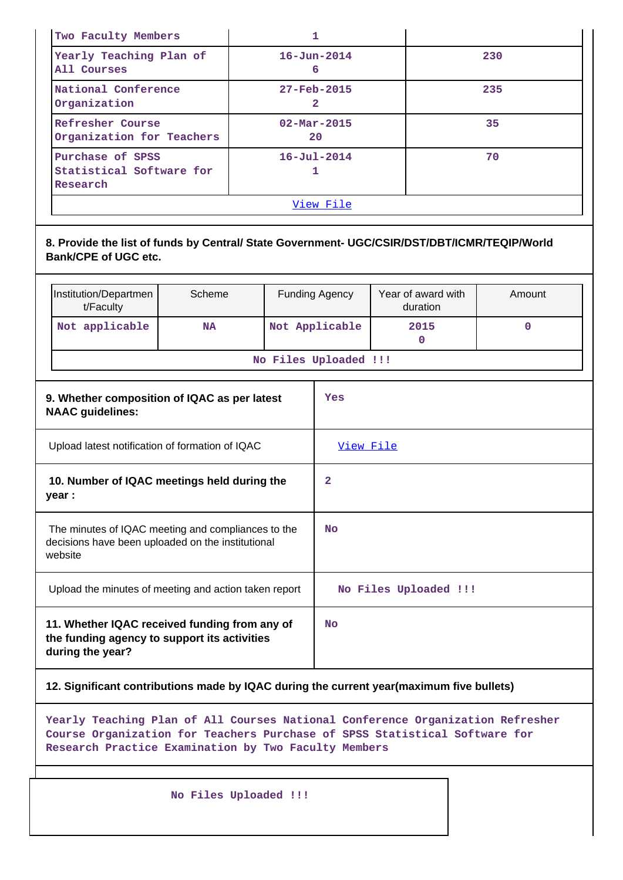| Two Faculty Members                                      |                                |     |  |  |
|----------------------------------------------------------|--------------------------------|-----|--|--|
| Yearly Teaching Plan of<br>All Courses                   | $16 - Jun - 2014$<br>6         | 230 |  |  |
| National Conference<br>Organization                      | $27 - Feb - 2015$<br>2         | 235 |  |  |
| Refresher Course<br>Organization for Teachers            | $02 - \text{Mar} - 2015$<br>20 | 35  |  |  |
| Purchase of SPSS<br>Statistical Software for<br>Research | $16 - Ju1 - 2014$              | 70  |  |  |
|                                                          | View File                      |     |  |  |

**8. Provide the list of funds by Central/ State Government- UGC/CSIR/DST/DBT/ICMR/TEQIP/World Bank/CPE of UGC etc.**

| Institution/Departmen<br>t/Faculty             | Scheme | Year of award with<br>duration | Amount |  |  |
|------------------------------------------------|--------|--------------------------------|--------|--|--|
| Not Applicable<br>Not applicable<br>2015<br>NA |        |                                |        |  |  |
| No Files Uploaded !!!                          |        |                                |        |  |  |

| 9. Whether composition of IQAC as per latest<br><b>NAAC</b> guidelines:                                            | Yes                   |
|--------------------------------------------------------------------------------------------------------------------|-----------------------|
| Upload latest notification of formation of IQAC                                                                    | <u>View File</u>      |
| 10. Number of IQAC meetings held during the<br>year :                                                              | 2                     |
| The minutes of IQAC meeting and compliances to the<br>decisions have been uploaded on the institutional<br>website | <b>No</b>             |
| Upload the minutes of meeting and action taken report                                                              | No Files Uploaded !!! |
| 11. Whether IQAC received funding from any of<br>the funding agency to support its activities<br>during the year?  | <b>No</b>             |

### **12. Significant contributions made by IQAC during the current year(maximum five bullets)**

**Yearly Teaching Plan of All Courses National Conference Organization Refresher Course Organization for Teachers Purchase of SPSS Statistical Software for Research Practice Examination by Two Faculty Members**

 **No Files Uploaded !!!**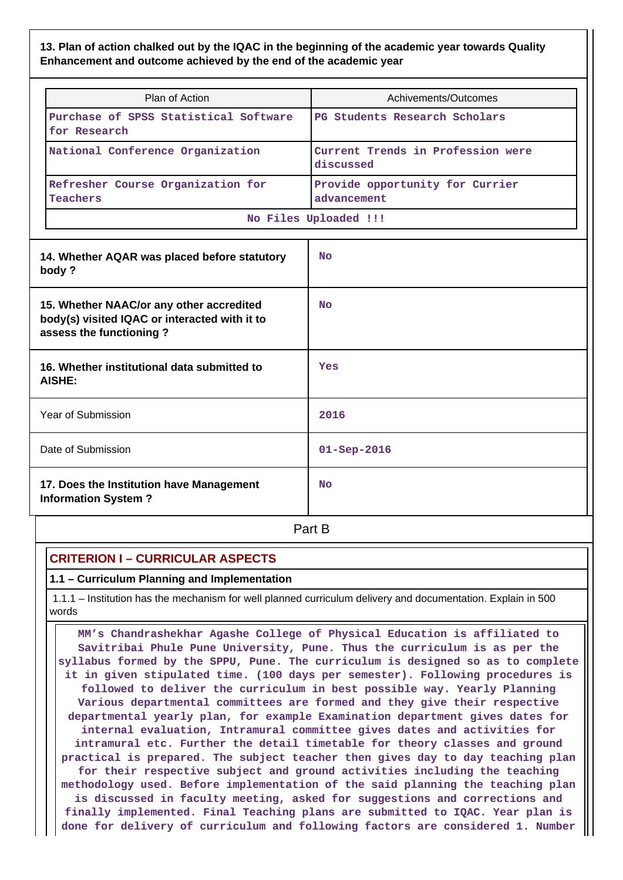### **13. Plan of action chalked out by the IQAC in the beginning of the academic year towards Quality Enhancement and outcome achieved by the end of the academic year**

| Plan of Action                                                                                                       | Achivements/Outcomes                           |  |  |  |
|----------------------------------------------------------------------------------------------------------------------|------------------------------------------------|--|--|--|
| Purchase of SPSS Statistical Software<br>for Research                                                                | PG Students Research Scholars                  |  |  |  |
| National Conference Organization                                                                                     | Current Trends in Profession were<br>discussed |  |  |  |
| Refresher Course Organization for<br><b>Teachers</b>                                                                 | Provide opportunity for Currier<br>advancement |  |  |  |
|                                                                                                                      | No Files Uploaded !!!                          |  |  |  |
| 14. Whether AQAR was placed before statutory<br>body?                                                                | N <sub>O</sub>                                 |  |  |  |
| 15. Whether NAAC/or any other accredited<br>body(s) visited IQAC or interacted with it to<br>assess the functioning? | <b>No</b>                                      |  |  |  |
| 16. Whether institutional data submitted to<br>AISHE:                                                                | Yes                                            |  |  |  |
| Year of Submission                                                                                                   | 2016                                           |  |  |  |
| Date of Submission                                                                                                   | $01 -$ Sep-2016                                |  |  |  |
| 17. Does the Institution have Management<br><b>Information System?</b>                                               | No                                             |  |  |  |

**Part B** 

# **CRITERION I – CURRICULAR ASPECTS**

### **1.1 – Curriculum Planning and Implementation**

 1.1.1 – Institution has the mechanism for well planned curriculum delivery and documentation. Explain in 500 words

 **MM's Chandrashekhar Agashe College of Physical Education is affiliated to Savitribai Phule Pune University, Pune. Thus the curriculum is as per the syllabus formed by the SPPU, Pune. The curriculum is designed so as to complete it in given stipulated time. (100 days per semester). Following procedures is followed to deliver the curriculum in best possible way. Yearly Planning Various departmental committees are formed and they give their respective departmental yearly plan, for example Examination department gives dates for internal evaluation, Intramural committee gives dates and activities for intramural etc. Further the detail timetable for theory classes and ground practical is prepared. The subject teacher then gives day to day teaching plan for their respective subject and ground activities including the teaching methodology used. Before implementation of the said planning the teaching plan is discussed in faculty meeting, asked for suggestions and corrections and finally implemented. Final Teaching plans are submitted to IQAC. Year plan is done for delivery of curriculum and following factors are considered 1. Number**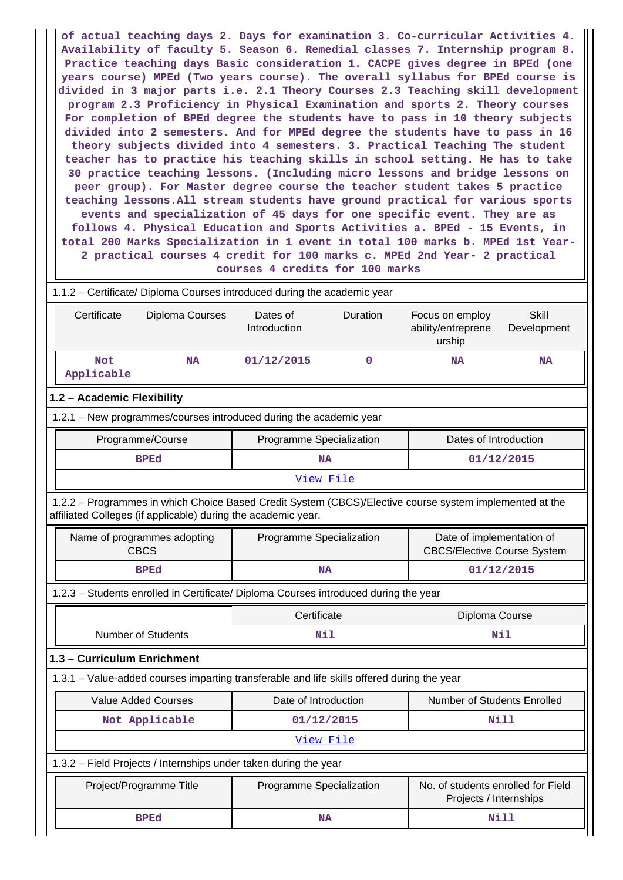**of actual teaching days 2. Days for examination 3. Co-curricular Activities 4. Availability of faculty 5. Season 6. Remedial classes 7. Internship program 8. Practice teaching days Basic consideration 1. CACPE gives degree in BPEd (one years course) MPEd (Two years course). The overall syllabus for BPEd course is divided in 3 major parts i.e. 2.1 Theory Courses 2.3 Teaching skill development program 2.3 Proficiency in Physical Examination and sports 2. Theory courses For completion of BPEd degree the students have to pass in 10 theory subjects divided into 2 semesters. And for MPEd degree the students have to pass in 16 theory subjects divided into 4 semesters. 3. Practical Teaching The student teacher has to practice his teaching skills in school setting. He has to take 30 practice teaching lessons. (Including micro lessons and bridge lessons on peer group). For Master degree course the teacher student takes 5 practice teaching lessons.All stream students have ground practical for various sports events and specialization of 45 days for one specific event. They are as follows 4. Physical Education and Sports Activities a. BPEd - 15 Events, in total 200 Marks Specialization in 1 event in total 100 marks b. MPEd 1st Year-2 practical courses 4 credit for 100 marks c. MPEd 2nd Year- 2 practical courses 4 credits for 100 marks** 1.1.2 – Certificate/ Diploma Courses introduced during the academic year Certificate Diploma Courses Dates of Introduction Duration Focus on employ ability/entreprene urship **Skill** Development  **Not Applicable NA 01/12/2015 0 NA NA 1.2 – Academic Flexibility** 1.2.1 – New programmes/courses introduced during the academic year

| Programme/Course         | Programme Specialization | Dates of Introduction |  |  |
|--------------------------|--------------------------|-----------------------|--|--|
| <b>BPEd</b><br><b>NA</b> |                          | 01/12/2015            |  |  |
| View File                |                          |                       |  |  |

 1.2.2 – Programmes in which Choice Based Credit System (CBCS)/Elective course system implemented at the affiliated Colleges (if applicable) during the academic year.

| Name of programmes adopting<br><b>CBCS</b>                                                 | Programme Specialization                                                             | Date of implementation of<br><b>CBCS/Elective Course System</b> |  |  |  |  |  |
|--------------------------------------------------------------------------------------------|--------------------------------------------------------------------------------------|-----------------------------------------------------------------|--|--|--|--|--|
| <b>BPEd</b>                                                                                | <b>NA</b>                                                                            | 01/12/2015                                                      |  |  |  |  |  |
|                                                                                            | 1.2.3 - Students enrolled in Certificate/ Diploma Courses introduced during the year |                                                                 |  |  |  |  |  |
|                                                                                            | Certificate                                                                          | Diploma Course                                                  |  |  |  |  |  |
| Number of Students                                                                         | Nil                                                                                  | Nil                                                             |  |  |  |  |  |
| 1.3 - Curriculum Enrichment                                                                |                                                                                      |                                                                 |  |  |  |  |  |
| 1.3.1 – Value-added courses imparting transferable and life skills offered during the year |                                                                                      |                                                                 |  |  |  |  |  |
| <b>Value Added Courses</b>                                                                 | Date of Introduction                                                                 | <b>Number of Students Enrolled</b>                              |  |  |  |  |  |
| Not Applicable                                                                             | 01/12/2015                                                                           | Nill                                                            |  |  |  |  |  |
| View File                                                                                  |                                                                                      |                                                                 |  |  |  |  |  |
| 1.3.2 – Field Projects / Internships under taken during the year                           |                                                                                      |                                                                 |  |  |  |  |  |
| Project/Programme Title                                                                    | Programme Specialization                                                             | No. of students enrolled for Field<br>Projects / Internships    |  |  |  |  |  |

BPEd NA NA Nill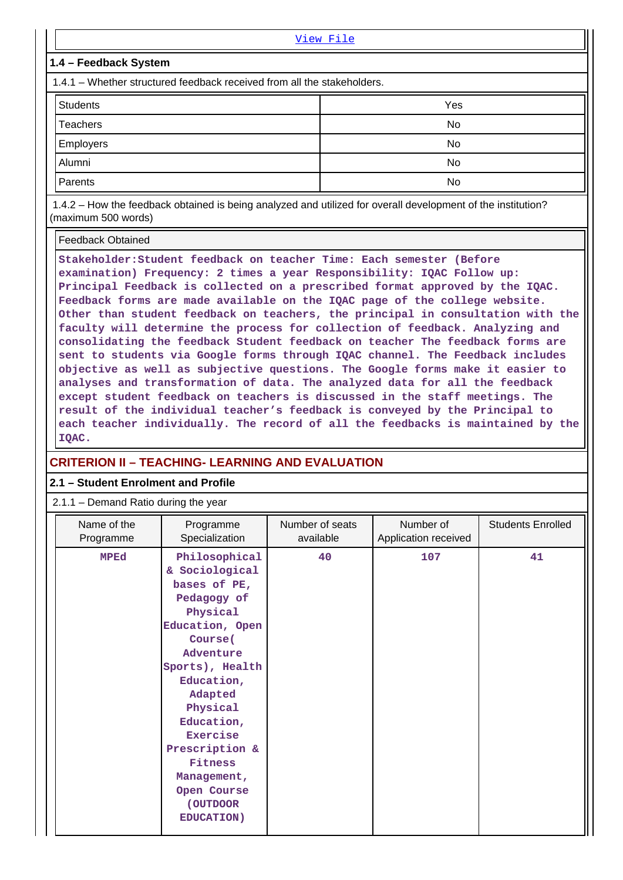| View File                                                                                                                                                                                                                               |                                                                                                                                                                                                                                   |  |  |  |
|-----------------------------------------------------------------------------------------------------------------------------------------------------------------------------------------------------------------------------------------|-----------------------------------------------------------------------------------------------------------------------------------------------------------------------------------------------------------------------------------|--|--|--|
| 1.4 – Feedback System                                                                                                                                                                                                                   |                                                                                                                                                                                                                                   |  |  |  |
| 1.4.1 – Whether structured feedback received from all the stakeholders.                                                                                                                                                                 |                                                                                                                                                                                                                                   |  |  |  |
| <b>Students</b>                                                                                                                                                                                                                         | Yes                                                                                                                                                                                                                               |  |  |  |
| <b>Teachers</b>                                                                                                                                                                                                                         | No                                                                                                                                                                                                                                |  |  |  |
| Employers<br>No                                                                                                                                                                                                                         |                                                                                                                                                                                                                                   |  |  |  |
| Alumni                                                                                                                                                                                                                                  | No.                                                                                                                                                                                                                               |  |  |  |
| Parents                                                                                                                                                                                                                                 | No.                                                                                                                                                                                                                               |  |  |  |
| $\mathcal{L}$ , and $\mathcal{L}$ are the set of the set of the set of the set of the set of the set of the set of the set of the set of the set of the set of the set of the set of the set of the set of the set of the set of the se | $\mathbf{u}$ , and the contract of the contract of the contract of the contract of the contract of the contract of the contract of the contract of the contract of the contract of the contract of the contract of the contract o |  |  |  |

 1.4.2 – How the feedback obtained is being analyzed and utilized for overall development of the institution? (maximum 500 words)

Feedback Obtained

**Stakeholder:Student feedback on teacher Time: Each semester (Before examination) Frequency: 2 times a year Responsibility: IQAC Follow up: Principal Feedback is collected on a prescribed format approved by the IQAC. Feedback forms are made available on the IQAC page of the college website. Other than student feedback on teachers, the principal in consultation with the faculty will determine the process for collection of feedback. Analyzing and consolidating the feedback Student feedback on teacher The feedback forms are sent to students via Google forms through IQAC channel. The Feedback includes objective as well as subjective questions. The Google forms make it easier to analyses and transformation of data. The analyzed data for all the feedback except student feedback on teachers is discussed in the staff meetings. The result of the individual teacher's feedback is conveyed by the Principal to each teacher individually. The record of all the feedbacks is maintained by the IQAC.**

# **CRITERION II – TEACHING- LEARNING AND EVALUATION**

#### **2.1 – Student Enrolment and Profile**

| Number of<br>Name of the<br>Number of seats<br><b>Students Enrolled</b><br>Programme<br>Specialization<br>available<br>Application received<br>Programme<br>Philosophical<br>40<br>107<br><b>MPEd</b><br>41<br>& Sociological<br>bases of PE,<br>Pedagogy of<br>Physical<br>Education, Open<br>Course (<br>Adventure<br>Sports), Health<br>Education,<br>Adapted<br>Physical<br>Education,<br>Exercise<br>Prescription &<br>Fitness<br>Management,<br>Open Course<br>(OUTDOOR<br><b>EDUCATION)</b> |  |  |  |
|----------------------------------------------------------------------------------------------------------------------------------------------------------------------------------------------------------------------------------------------------------------------------------------------------------------------------------------------------------------------------------------------------------------------------------------------------------------------------------------------------|--|--|--|
|                                                                                                                                                                                                                                                                                                                                                                                                                                                                                                    |  |  |  |
|                                                                                                                                                                                                                                                                                                                                                                                                                                                                                                    |  |  |  |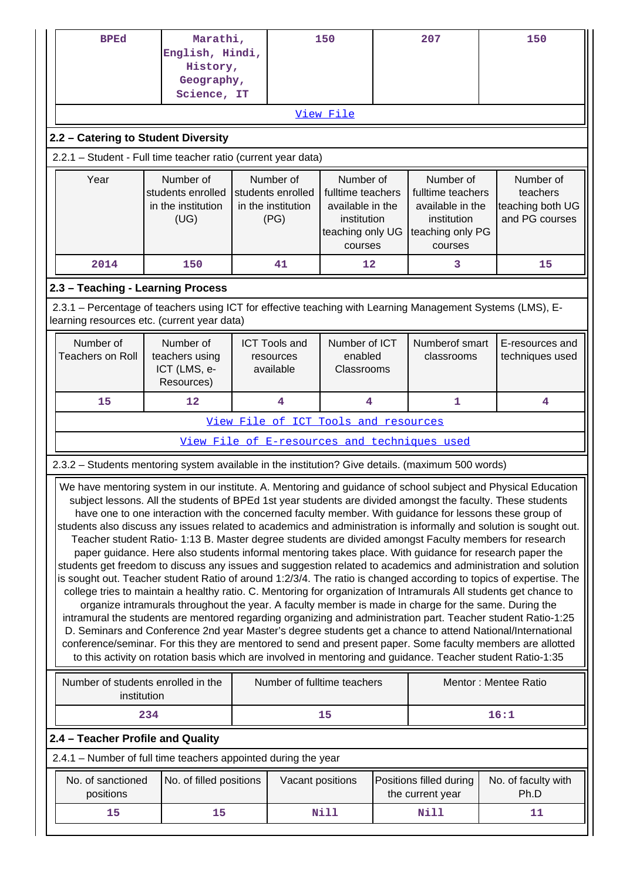| <b>BPEd</b>                                                                                                                                                                                                                                                                                                                                                                                                                                                                                                                                                                                                                                                                                                                                                                                                                                                                                                                                                                                                                                                                                                                                                                                                                                                                                                                                                                                                                                                                                                                                                                                                            | Marathi,<br>English, Hindi,<br>History,<br>Geography,<br>Science, IT |  | 150                                                          |                                                                                                  |  | 207                                                                                              | 150                                                         |  |
|------------------------------------------------------------------------------------------------------------------------------------------------------------------------------------------------------------------------------------------------------------------------------------------------------------------------------------------------------------------------------------------------------------------------------------------------------------------------------------------------------------------------------------------------------------------------------------------------------------------------------------------------------------------------------------------------------------------------------------------------------------------------------------------------------------------------------------------------------------------------------------------------------------------------------------------------------------------------------------------------------------------------------------------------------------------------------------------------------------------------------------------------------------------------------------------------------------------------------------------------------------------------------------------------------------------------------------------------------------------------------------------------------------------------------------------------------------------------------------------------------------------------------------------------------------------------------------------------------------------------|----------------------------------------------------------------------|--|--------------------------------------------------------------|--------------------------------------------------------------------------------------------------|--|--------------------------------------------------------------------------------------------------|-------------------------------------------------------------|--|
|                                                                                                                                                                                                                                                                                                                                                                                                                                                                                                                                                                                                                                                                                                                                                                                                                                                                                                                                                                                                                                                                                                                                                                                                                                                                                                                                                                                                                                                                                                                                                                                                                        |                                                                      |  |                                                              | View File                                                                                        |  |                                                                                                  |                                                             |  |
| 2.2 - Catering to Student Diversity                                                                                                                                                                                                                                                                                                                                                                                                                                                                                                                                                                                                                                                                                                                                                                                                                                                                                                                                                                                                                                                                                                                                                                                                                                                                                                                                                                                                                                                                                                                                                                                    |                                                                      |  |                                                              |                                                                                                  |  |                                                                                                  |                                                             |  |
| 2.2.1 - Student - Full time teacher ratio (current year data)                                                                                                                                                                                                                                                                                                                                                                                                                                                                                                                                                                                                                                                                                                                                                                                                                                                                                                                                                                                                                                                                                                                                                                                                                                                                                                                                                                                                                                                                                                                                                          |                                                                      |  |                                                              |                                                                                                  |  |                                                                                                  |                                                             |  |
| Year                                                                                                                                                                                                                                                                                                                                                                                                                                                                                                                                                                                                                                                                                                                                                                                                                                                                                                                                                                                                                                                                                                                                                                                                                                                                                                                                                                                                                                                                                                                                                                                                                   | Number of<br>students enrolled<br>in the institution<br>(UG)         |  | Number of<br>students enrolled<br>in the institution<br>(PG) | Number of<br>fulltime teachers<br>available in the<br>institution<br>teaching only UG<br>courses |  | Number of<br>fulltime teachers<br>available in the<br>institution<br>teaching only PG<br>courses | Number of<br>teachers<br>teaching both UG<br>and PG courses |  |
| 2014                                                                                                                                                                                                                                                                                                                                                                                                                                                                                                                                                                                                                                                                                                                                                                                                                                                                                                                                                                                                                                                                                                                                                                                                                                                                                                                                                                                                                                                                                                                                                                                                                   | 150                                                                  |  | 41                                                           | 12                                                                                               |  | 3                                                                                                | 15                                                          |  |
| 2.3 - Teaching - Learning Process                                                                                                                                                                                                                                                                                                                                                                                                                                                                                                                                                                                                                                                                                                                                                                                                                                                                                                                                                                                                                                                                                                                                                                                                                                                                                                                                                                                                                                                                                                                                                                                      |                                                                      |  |                                                              |                                                                                                  |  |                                                                                                  |                                                             |  |
| 2.3.1 – Percentage of teachers using ICT for effective teaching with Learning Management Systems (LMS), E-<br>learning resources etc. (current year data)                                                                                                                                                                                                                                                                                                                                                                                                                                                                                                                                                                                                                                                                                                                                                                                                                                                                                                                                                                                                                                                                                                                                                                                                                                                                                                                                                                                                                                                              |                                                                      |  |                                                              |                                                                                                  |  |                                                                                                  |                                                             |  |
| Number of<br><b>Teachers on Roll</b>                                                                                                                                                                                                                                                                                                                                                                                                                                                                                                                                                                                                                                                                                                                                                                                                                                                                                                                                                                                                                                                                                                                                                                                                                                                                                                                                                                                                                                                                                                                                                                                   | Number of<br>teachers using<br>ICT (LMS, e-<br>Resources)            |  | <b>ICT Tools and</b><br>resources<br>available               | Number of ICT<br>enabled<br>Classrooms                                                           |  | Numberof smart<br>classrooms                                                                     | E-resources and<br>techniques used                          |  |
| 15                                                                                                                                                                                                                                                                                                                                                                                                                                                                                                                                                                                                                                                                                                                                                                                                                                                                                                                                                                                                                                                                                                                                                                                                                                                                                                                                                                                                                                                                                                                                                                                                                     | 12                                                                   |  | 4                                                            | 4                                                                                                |  | 1                                                                                                | 4                                                           |  |
|                                                                                                                                                                                                                                                                                                                                                                                                                                                                                                                                                                                                                                                                                                                                                                                                                                                                                                                                                                                                                                                                                                                                                                                                                                                                                                                                                                                                                                                                                                                                                                                                                        | View File of ICT Tools and resources                                 |  |                                                              |                                                                                                  |  |                                                                                                  |                                                             |  |
|                                                                                                                                                                                                                                                                                                                                                                                                                                                                                                                                                                                                                                                                                                                                                                                                                                                                                                                                                                                                                                                                                                                                                                                                                                                                                                                                                                                                                                                                                                                                                                                                                        |                                                                      |  |                                                              |                                                                                                  |  | View File of E-resources and techniques used                                                     |                                                             |  |
| 2.3.2 - Students mentoring system available in the institution? Give details. (maximum 500 words)                                                                                                                                                                                                                                                                                                                                                                                                                                                                                                                                                                                                                                                                                                                                                                                                                                                                                                                                                                                                                                                                                                                                                                                                                                                                                                                                                                                                                                                                                                                      |                                                                      |  |                                                              |                                                                                                  |  |                                                                                                  |                                                             |  |
| We have mentoring system in our institute. A. Mentoring and guidance of school subject and Physical Education<br>subject lessons. All the students of BPEd 1st year students are divided amongst the faculty. These students<br>have one to one interaction with the concerned faculty member. With guidance for lessons these group of<br>students also discuss any issues related to academics and administration is informally and solution is sought out.<br>Teacher student Ratio- 1:13 B. Master degree students are divided amongst Faculty members for research<br>paper guidance. Here also students informal mentoring takes place. With guidance for research paper the<br>students get freedom to discuss any issues and suggestion related to academics and administration and solution<br>is sought out. Teacher student Ratio of around 1:2/3/4. The ratio is changed according to topics of expertise. The<br>college tries to maintain a healthy ratio. C. Mentoring for organization of Intramurals All students get chance to<br>organize intramurals throughout the year. A faculty member is made in charge for the same. During the<br>intramural the students are mentored regarding organizing and administration part. Teacher student Ratio-1:25<br>D. Seminars and Conference 2nd year Master's degree students get a chance to attend National/International<br>conference/seminar. For this they are mentored to send and present paper. Some faculty members are allotted<br>to this activity on rotation basis which are involved in mentoring and guidance. Teacher student Ratio-1:35 |                                                                      |  |                                                              |                                                                                                  |  |                                                                                                  |                                                             |  |
| Number of students enrolled in the<br>Number of fulltime teachers<br>Mentor: Mentee Ratio<br>institution                                                                                                                                                                                                                                                                                                                                                                                                                                                                                                                                                                                                                                                                                                                                                                                                                                                                                                                                                                                                                                                                                                                                                                                                                                                                                                                                                                                                                                                                                                               |                                                                      |  |                                                              |                                                                                                  |  |                                                                                                  |                                                             |  |
|                                                                                                                                                                                                                                                                                                                                                                                                                                                                                                                                                                                                                                                                                                                                                                                                                                                                                                                                                                                                                                                                                                                                                                                                                                                                                                                                                                                                                                                                                                                                                                                                                        | 234<br>15<br>16:1                                                    |  |                                                              |                                                                                                  |  |                                                                                                  |                                                             |  |
|                                                                                                                                                                                                                                                                                                                                                                                                                                                                                                                                                                                                                                                                                                                                                                                                                                                                                                                                                                                                                                                                                                                                                                                                                                                                                                                                                                                                                                                                                                                                                                                                                        | 2.4 - Teacher Profile and Quality                                    |  |                                                              |                                                                                                  |  |                                                                                                  |                                                             |  |
| 2.4.1 - Number of full time teachers appointed during the year                                                                                                                                                                                                                                                                                                                                                                                                                                                                                                                                                                                                                                                                                                                                                                                                                                                                                                                                                                                                                                                                                                                                                                                                                                                                                                                                                                                                                                                                                                                                                         |                                                                      |  |                                                              |                                                                                                  |  |                                                                                                  |                                                             |  |
| No. of sanctioned<br>positions                                                                                                                                                                                                                                                                                                                                                                                                                                                                                                                                                                                                                                                                                                                                                                                                                                                                                                                                                                                                                                                                                                                                                                                                                                                                                                                                                                                                                                                                                                                                                                                         | No. of filled positions                                              |  | Vacant positions                                             |                                                                                                  |  | Positions filled during<br>the current year                                                      | No. of faculty with<br>Ph.D                                 |  |
| 15                                                                                                                                                                                                                                                                                                                                                                                                                                                                                                                                                                                                                                                                                                                                                                                                                                                                                                                                                                                                                                                                                                                                                                                                                                                                                                                                                                                                                                                                                                                                                                                                                     | 15                                                                   |  |                                                              | <b>Nill</b>                                                                                      |  | Nill                                                                                             | 11                                                          |  |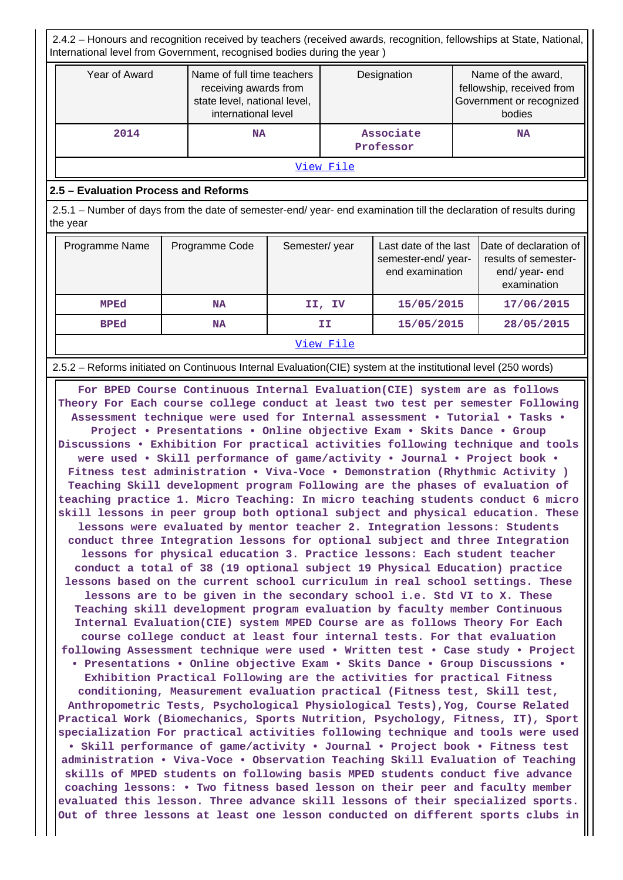2.4.2 – Honours and recognition received by teachers (received awards, recognition, fellowships at State, National, International level from Government, recognised bodies during the year )

| Year of Award | Name of full time teachers<br>receiving awards from<br>state level, national level,<br>international level | Designation            | Name of the award,<br>fellowship, received from<br>Government or recognized<br>bodies |  |  |  |
|---------------|------------------------------------------------------------------------------------------------------------|------------------------|---------------------------------------------------------------------------------------|--|--|--|
| 2014          | <b>NA</b>                                                                                                  | Associate<br>Professor | <b>NA</b>                                                                             |  |  |  |
| View File     |                                                                                                            |                        |                                                                                       |  |  |  |

### **2.5 – Evaluation Process and Reforms**

 2.5.1 – Number of days from the date of semester-end/ year- end examination till the declaration of results during the year

| Programme Name | Programme Code | Semester/year | Last date of the last<br>semester-end/year-<br>end examination | Date of declaration of<br>results of semester-<br>end/year-end<br>examination |  |  |  |  |
|----------------|----------------|---------------|----------------------------------------------------------------|-------------------------------------------------------------------------------|--|--|--|--|
| MPEd           | ΝA             | II, IV        | 15/05/2015                                                     | 17/06/2015                                                                    |  |  |  |  |
| <b>BPEd</b>    | NA             | ΙI            | 15/05/2015                                                     | 28/05/2015                                                                    |  |  |  |  |
|                | View File      |               |                                                                |                                                                               |  |  |  |  |

2.5.2 – Reforms initiated on Continuous Internal Evaluation(CIE) system at the institutional level (250 words)

 **For BPED Course Continuous Internal Evaluation(CIE) system are as follows Theory For Each course college conduct at least two test per semester Following Assessment technique were used for Internal assessment • Tutorial • Tasks • Project • Presentations • Online objective Exam • Skits Dance • Group Discussions • Exhibition For practical activities following technique and tools were used • Skill performance of game/activity • Journal • Project book • Fitness test administration • Viva-Voce • Demonstration (Rhythmic Activity ) Teaching Skill development program Following are the phases of evaluation of teaching practice 1. Micro Teaching: In micro teaching students conduct 6 micro skill lessons in peer group both optional subject and physical education. These lessons were evaluated by mentor teacher 2. Integration lessons: Students conduct three Integration lessons for optional subject and three Integration lessons for physical education 3. Practice lessons: Each student teacher conduct a total of 38 (19 optional subject 19 Physical Education) practice lessons based on the current school curriculum in real school settings. These lessons are to be given in the secondary school i.e. Std VI to X. These Teaching skill development program evaluation by faculty member Continuous Internal Evaluation(CIE) system MPED Course are as follows Theory For Each course college conduct at least four internal tests. For that evaluation following Assessment technique were used • Written test • Case study • Project • Presentations • Online objective Exam • Skits Dance • Group Discussions • Exhibition Practical Following are the activities for practical Fitness conditioning, Measurement evaluation practical (Fitness test, Skill test, Anthropometric Tests, Psychological Physiological Tests),Yog, Course Related Practical Work (Biomechanics, Sports Nutrition, Psychology, Fitness, IT), Sport specialization For practical activities following technique and tools were used • Skill performance of game/activity • Journal • Project book • Fitness test administration • Viva-Voce • Observation Teaching Skill Evaluation of Teaching skills of MPED students on following basis MPED students conduct five advance coaching lessons: • Two fitness based lesson on their peer and faculty member evaluated this lesson. Three advance skill lessons of their specialized sports. Out of three lessons at least one lesson conducted on different sports clubs in**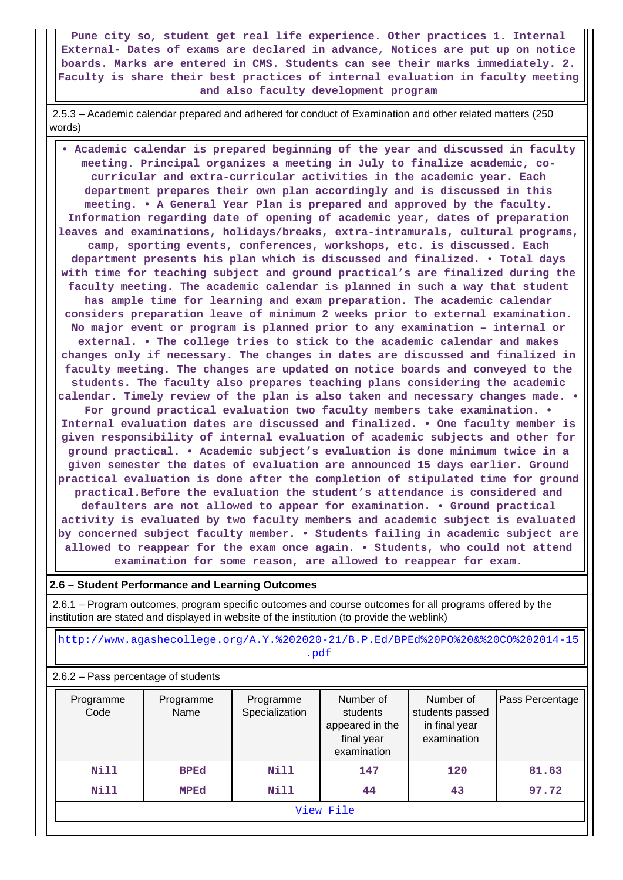**Pune city so, student get real life experience. Other practices 1. Internal External- Dates of exams are declared in advance, Notices are put up on notice boards. Marks are entered in CMS. Students can see their marks immediately. 2. Faculty is share their best practices of internal evaluation in faculty meeting and also faculty development program**

 2.5.3 – Academic calendar prepared and adhered for conduct of Examination and other related matters (250 words)

 **• Academic calendar is prepared beginning of the year and discussed in faculty meeting. Principal organizes a meeting in July to finalize academic, cocurricular and extra-curricular activities in the academic year. Each department prepares their own plan accordingly and is discussed in this meeting. • A General Year Plan is prepared and approved by the faculty. Information regarding date of opening of academic year, dates of preparation leaves and examinations, holidays/breaks, extra-intramurals, cultural programs, camp, sporting events, conferences, workshops, etc. is discussed. Each department presents his plan which is discussed and finalized. • Total days with time for teaching subject and ground practical's are finalized during the faculty meeting. The academic calendar is planned in such a way that student has ample time for learning and exam preparation. The academic calendar considers preparation leave of minimum 2 weeks prior to external examination. No major event or program is planned prior to any examination – internal or external. • The college tries to stick to the academic calendar and makes changes only if necessary. The changes in dates are discussed and finalized in faculty meeting. The changes are updated on notice boards and conveyed to the students. The faculty also prepares teaching plans considering the academic calendar. Timely review of the plan is also taken and necessary changes made. • For ground practical evaluation two faculty members take examination. • Internal evaluation dates are discussed and finalized. • One faculty member is given responsibility of internal evaluation of academic subjects and other for ground practical. • Academic subject's evaluation is done minimum twice in a given semester the dates of evaluation are announced 15 days earlier. Ground practical evaluation is done after the completion of stipulated time for ground practical.Before the evaluation the student's attendance is considered and defaulters are not allowed to appear for examination. • Ground practical activity is evaluated by two faculty members and academic subject is evaluated by concerned subject faculty member. • Students failing in academic subject are allowed to reappear for the exam once again. • Students, who could not attend examination for some reason, are allowed to reappear for exam.**

#### **2.6 – Student Performance and Learning Outcomes**

 2.6.1 – Program outcomes, program specific outcomes and course outcomes for all programs offered by the institution are stated and displayed in website of the institution (to provide the weblink)

 [http://www.agashecollege.org/A.Y.%202020-21/B.P.Ed/BPEd%20PO%20&%20CO%202014-15](http://www.agashecollege.org/A.Y.%202020-21/B.P.Ed/BPEd%20PO%20&%20CO%202014-15.pdf) [.pdf](http://www.agashecollege.org/A.Y.%202020-21/B.P.Ed/BPEd%20PO%20&%20CO%202014-15.pdf)

2.6.2 – Pass percentage of students

| Programme<br>Code                         | Programme<br>Name | Programme<br>Specialization | Number of<br>students<br>appeared in the<br>final year<br>examination | Number of<br>students passed<br>in final year<br>examination | Pass Percentage |  |  |  |
|-------------------------------------------|-------------------|-----------------------------|-----------------------------------------------------------------------|--------------------------------------------------------------|-----------------|--|--|--|
| Nill                                      | <b>BPEd</b>       | Nill                        | 147                                                                   | 120                                                          | 81.63           |  |  |  |
| Nill<br>Nill<br>97.72<br>44<br>43<br>MPEd |                   |                             |                                                                       |                                                              |                 |  |  |  |
|                                           | View File         |                             |                                                                       |                                                              |                 |  |  |  |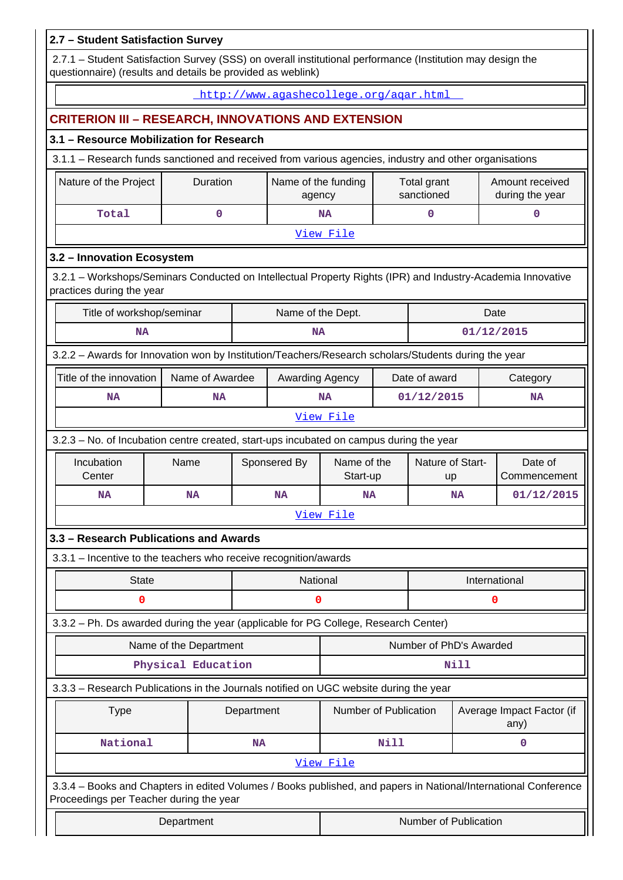| 2.7 - Student Satisfaction Survey                                                                                                                          |                                                                                                                                                                           |                        |           |                                        |                         |                        |                           |               |                                    |
|------------------------------------------------------------------------------------------------------------------------------------------------------------|---------------------------------------------------------------------------------------------------------------------------------------------------------------------------|------------------------|-----------|----------------------------------------|-------------------------|------------------------|---------------------------|---------------|------------------------------------|
|                                                                                                                                                            | 2.7.1 - Student Satisfaction Survey (SSS) on overall institutional performance (Institution may design the<br>questionnaire) (results and details be provided as weblink) |                        |           |                                        |                         |                        |                           |               |                                    |
|                                                                                                                                                            |                                                                                                                                                                           |                        |           | http://www.aqashecollege.org/agar.html |                         |                        |                           |               |                                    |
| <b>CRITERION III - RESEARCH, INNOVATIONS AND EXTENSION</b>                                                                                                 |                                                                                                                                                                           |                        |           |                                        |                         |                        |                           |               |                                    |
| 3.1 - Resource Mobilization for Research                                                                                                                   |                                                                                                                                                                           |                        |           |                                        |                         |                        |                           |               |                                    |
| 3.1.1 - Research funds sanctioned and received from various agencies, industry and other organisations                                                     |                                                                                                                                                                           |                        |           |                                        |                         |                        |                           |               |                                    |
| Nature of the Project                                                                                                                                      |                                                                                                                                                                           | Duration               |           | Name of the funding<br>agency          |                         |                        | Total grant<br>sanctioned |               | Amount received<br>during the year |
| Total                                                                                                                                                      |                                                                                                                                                                           | $\mathbf 0$            |           |                                        | <b>NA</b>               |                        | 0                         |               | 0                                  |
|                                                                                                                                                            |                                                                                                                                                                           |                        |           |                                        | View File               |                        |                           |               |                                    |
| 3.2 - Innovation Ecosystem                                                                                                                                 |                                                                                                                                                                           |                        |           |                                        |                         |                        |                           |               |                                    |
| 3.2.1 - Workshops/Seminars Conducted on Intellectual Property Rights (IPR) and Industry-Academia Innovative<br>practices during the year                   |                                                                                                                                                                           |                        |           |                                        |                         |                        |                           |               |                                    |
| Title of workshop/seminar                                                                                                                                  |                                                                                                                                                                           |                        |           | Name of the Dept.                      |                         |                        |                           |               | Date                               |
| <b>NA</b>                                                                                                                                                  |                                                                                                                                                                           |                        |           | <b>NA</b>                              |                         |                        |                           |               | 01/12/2015                         |
| 3.2.2 - Awards for Innovation won by Institution/Teachers/Research scholars/Students during the year                                                       |                                                                                                                                                                           |                        |           |                                        |                         |                        |                           |               |                                    |
|                                                                                                                                                            | Title of the innovation<br>Name of Awardee<br>Awarding Agency                                                                                                             |                        |           |                                        |                         |                        | Date of award             |               | Category                           |
| NA                                                                                                                                                         |                                                                                                                                                                           | NA                     |           |                                        | <b>NA</b>               |                        | 01/12/2015                | <b>NA</b>     |                                    |
|                                                                                                                                                            | View File                                                                                                                                                                 |                        |           |                                        |                         |                        |                           |               |                                    |
| 3.2.3 - No. of Incubation centre created, start-ups incubated on campus during the year                                                                    |                                                                                                                                                                           |                        |           |                                        |                         |                        |                           |               |                                    |
| Incubation<br>Center                                                                                                                                       | Name                                                                                                                                                                      |                        |           | Sponsered By                           | Name of the<br>Start-up | Nature of Start-<br>up |                           |               | Date of<br>Commencement            |
| NA                                                                                                                                                         |                                                                                                                                                                           | <b>NA</b>              |           | <b>NA</b>                              | NA                      |                        | <b>NA</b>                 | 01/12/2015    |                                    |
|                                                                                                                                                            |                                                                                                                                                                           |                        |           |                                        | View File               |                        |                           |               |                                    |
| 3.3 - Research Publications and Awards                                                                                                                     |                                                                                                                                                                           |                        |           |                                        |                         |                        |                           |               |                                    |
| 3.3.1 - Incentive to the teachers who receive recognition/awards                                                                                           |                                                                                                                                                                           |                        |           |                                        |                         |                        |                           |               |                                    |
| <b>State</b>                                                                                                                                               |                                                                                                                                                                           |                        |           | National                               |                         |                        |                           | International |                                    |
| 0                                                                                                                                                          |                                                                                                                                                                           |                        |           | 0                                      |                         |                        |                           |               | 0                                  |
| 3.3.2 - Ph. Ds awarded during the year (applicable for PG College, Research Center)                                                                        |                                                                                                                                                                           |                        |           |                                        |                         |                        |                           |               |                                    |
|                                                                                                                                                            |                                                                                                                                                                           | Name of the Department |           |                                        |                         |                        | Number of PhD's Awarded   |               |                                    |
|                                                                                                                                                            |                                                                                                                                                                           | Physical Education     |           |                                        |                         |                        |                           | Nill          |                                    |
| 3.3.3 - Research Publications in the Journals notified on UGC website during the year                                                                      |                                                                                                                                                                           |                        |           |                                        |                         |                        |                           |               |                                    |
| Number of Publication<br>Average Impact Factor (if<br><b>Type</b><br>Department<br>any)                                                                    |                                                                                                                                                                           |                        |           |                                        |                         |                        |                           |               |                                    |
| National                                                                                                                                                   |                                                                                                                                                                           |                        | <b>NA</b> |                                        |                         | Nill                   |                           |               | 0                                  |
|                                                                                                                                                            |                                                                                                                                                                           |                        |           |                                        | View File               |                        |                           |               |                                    |
| 3.3.4 - Books and Chapters in edited Volumes / Books published, and papers in National/International Conference<br>Proceedings per Teacher during the year |                                                                                                                                                                           |                        |           |                                        |                         |                        |                           |               |                                    |
|                                                                                                                                                            | Department                                                                                                                                                                |                        |           |                                        |                         |                        | Number of Publication     |               |                                    |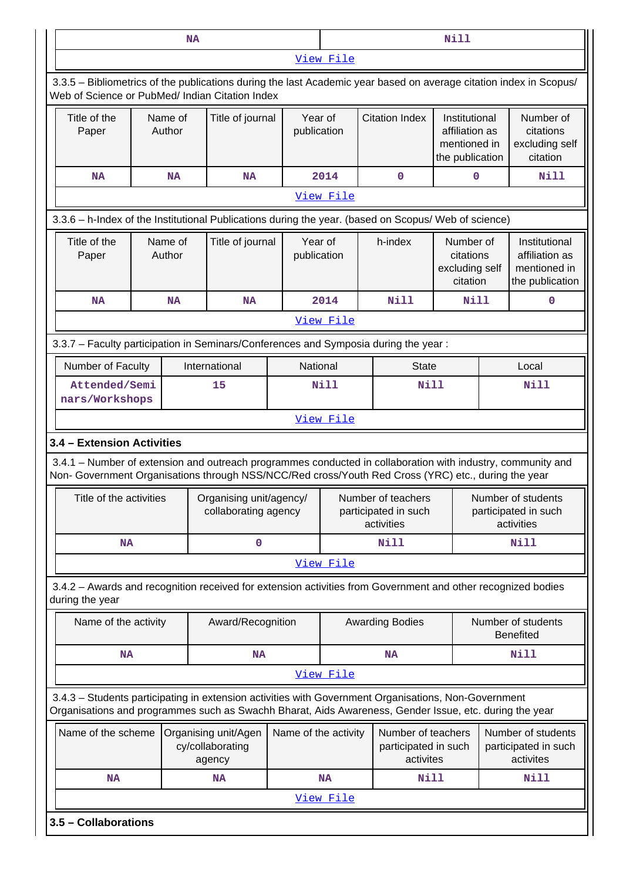|                                                                                                                                                                                                                                                  | Nill<br><b>NA</b>    |                                                    |                        |           |                                                          |                                                                    |  |                                                                    |  |
|--------------------------------------------------------------------------------------------------------------------------------------------------------------------------------------------------------------------------------------------------|----------------------|----------------------------------------------------|------------------------|-----------|----------------------------------------------------------|--------------------------------------------------------------------|--|--------------------------------------------------------------------|--|
|                                                                                                                                                                                                                                                  | View File            |                                                    |                        |           |                                                          |                                                                    |  |                                                                    |  |
| 3.3.5 – Bibliometrics of the publications during the last Academic year based on average citation index in Scopus/<br>Web of Science or PubMed/ Indian Citation Index                                                                            |                      |                                                    |                        |           |                                                          |                                                                    |  |                                                                    |  |
| Title of the<br>Paper                                                                                                                                                                                                                            | Name of<br>Author    | Title of journal                                   | Year of<br>publication |           | <b>Citation Index</b>                                    | Institutional<br>affiliation as<br>mentioned in<br>the publication |  | Number of<br>citations<br>excluding self<br>citation               |  |
| <b>NA</b>                                                                                                                                                                                                                                        | <b>NA</b>            | <b>NA</b>                                          |                        | 2014      | 0                                                        | $\mathbf 0$                                                        |  | <b>Nill</b>                                                        |  |
|                                                                                                                                                                                                                                                  |                      |                                                    |                        | View File |                                                          |                                                                    |  |                                                                    |  |
| 3.3.6 - h-Index of the Institutional Publications during the year. (based on Scopus/ Web of science)                                                                                                                                             |                      |                                                    |                        |           |                                                          |                                                                    |  |                                                                    |  |
| Title of the<br>Paper                                                                                                                                                                                                                            | Name of<br>Author    | Title of journal                                   | Year of<br>publication |           | h-index                                                  | Number of<br>citations<br>excluding self<br>citation               |  | Institutional<br>affiliation as<br>mentioned in<br>the publication |  |
| <b>NA</b>                                                                                                                                                                                                                                        | <b>NA</b>            | <b>NA</b>                                          |                        | 2014      | Nill                                                     | Nill                                                               |  | 0                                                                  |  |
|                                                                                                                                                                                                                                                  |                      |                                                    |                        | View File |                                                          |                                                                    |  |                                                                    |  |
| 3.3.7 - Faculty participation in Seminars/Conferences and Symposia during the year:                                                                                                                                                              |                      |                                                    |                        |           |                                                          |                                                                    |  |                                                                    |  |
| Number of Faculty                                                                                                                                                                                                                                |                      | International                                      | National               |           | <b>State</b>                                             |                                                                    |  | Local                                                              |  |
| Attended/Semi<br>nars/Workshops                                                                                                                                                                                                                  |                      | 15                                                 | <b>Nill</b>            |           |                                                          | <b>Nill</b>                                                        |  | <b>Nill</b>                                                        |  |
|                                                                                                                                                                                                                                                  |                      |                                                    |                        | View File |                                                          |                                                                    |  |                                                                    |  |
| 3.4 - Extension Activities<br>3.4.1 - Number of extension and outreach programmes conducted in collaboration with industry, community and<br>Non- Government Organisations through NSS/NCC/Red cross/Youth Red Cross (YRC) etc., during the year |                      |                                                    |                        |           |                                                          |                                                                    |  |                                                                    |  |
| Title of the activities                                                                                                                                                                                                                          |                      | Organising unit/agency/<br>collaborating agency    |                        |           | Number of teachers<br>participated in such<br>activities | Number of students<br>participated in such<br>activities           |  |                                                                    |  |
| <b>NA</b>                                                                                                                                                                                                                                        |                      | 0                                                  |                        | Nill      |                                                          |                                                                    |  | Nill                                                               |  |
|                                                                                                                                                                                                                                                  |                      |                                                    |                        | View File |                                                          |                                                                    |  |                                                                    |  |
| 3.4.2 - Awards and recognition received for extension activities from Government and other recognized bodies<br>during the year                                                                                                                  |                      |                                                    |                        |           |                                                          |                                                                    |  |                                                                    |  |
| Name of the activity                                                                                                                                                                                                                             |                      | Award/Recognition                                  |                        |           | <b>Awarding Bodies</b>                                   |                                                                    |  | Number of students<br><b>Benefited</b>                             |  |
| <b>NA</b>                                                                                                                                                                                                                                        |                      | <b>NA</b>                                          |                        |           | <b>NA</b>                                                |                                                                    |  | Nill                                                               |  |
|                                                                                                                                                                                                                                                  |                      |                                                    |                        | View File |                                                          |                                                                    |  |                                                                    |  |
| 3.4.3 - Students participating in extension activities with Government Organisations, Non-Government<br>Organisations and programmes such as Swachh Bharat, Aids Awareness, Gender Issue, etc. during the year                                   |                      |                                                    |                        |           |                                                          |                                                                    |  |                                                                    |  |
| Name of the scheme                                                                                                                                                                                                                               |                      | Organising unit/Agen<br>cy/collaborating<br>agency | Name of the activity   |           | Number of teachers<br>participated in such<br>activites  |                                                                    |  | Number of students<br>participated in such<br>activites            |  |
| <b>NA</b>                                                                                                                                                                                                                                        |                      | NA                                                 |                        | <b>NA</b> | Nill                                                     |                                                                    |  | Nill                                                               |  |
|                                                                                                                                                                                                                                                  | View File            |                                                    |                        |           |                                                          |                                                                    |  |                                                                    |  |
|                                                                                                                                                                                                                                                  | 3.5 - Collaborations |                                                    |                        |           |                                                          |                                                                    |  |                                                                    |  |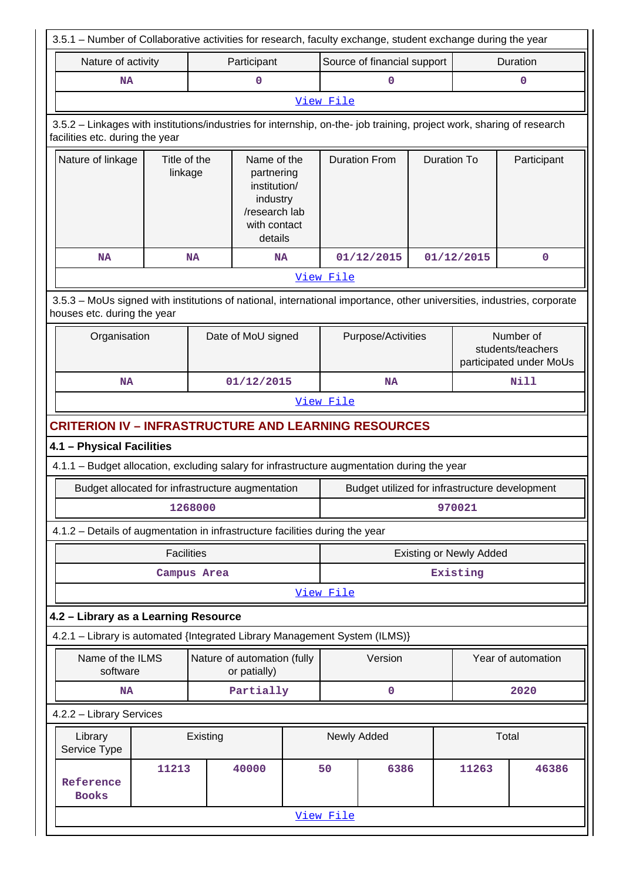|                                                                                                                                                          | 3.5.1 – Number of Collaborative activities for research, faculty exchange, student exchange during the year |          |                                                                                                   |  |                                |                             |                                                |             |                                                           |  |
|----------------------------------------------------------------------------------------------------------------------------------------------------------|-------------------------------------------------------------------------------------------------------------|----------|---------------------------------------------------------------------------------------------------|--|--------------------------------|-----------------------------|------------------------------------------------|-------------|-----------------------------------------------------------|--|
| Nature of activity                                                                                                                                       |                                                                                                             |          | Participant                                                                                       |  |                                | Source of financial support |                                                |             | Duration                                                  |  |
| <b>NA</b>                                                                                                                                                |                                                                                                             |          |                                                                                                   |  |                                | $\mathbf 0$                 |                                                |             | 0                                                         |  |
|                                                                                                                                                          |                                                                                                             |          |                                                                                                   |  | View File                      |                             |                                                |             |                                                           |  |
| 3.5.2 - Linkages with institutions/industries for internship, on-the- job training, project work, sharing of research<br>facilities etc. during the year |                                                                                                             |          |                                                                                                   |  |                                |                             |                                                |             |                                                           |  |
| Nature of linkage                                                                                                                                        | Title of the<br>linkage                                                                                     |          | Name of the<br>partnering<br>institution/<br>industry<br>/research lab<br>with contact<br>details |  |                                | <b>Duration From</b>        | <b>Duration To</b>                             |             | Participant                                               |  |
| <b>NA</b>                                                                                                                                                | <b>NA</b>                                                                                                   |          | <b>NA</b>                                                                                         |  |                                | 01/12/2015                  |                                                | 01/12/2015  | $\mathbf 0$                                               |  |
|                                                                                                                                                          |                                                                                                             |          |                                                                                                   |  | View File                      |                             |                                                |             |                                                           |  |
| 3.5.3 – MoUs signed with institutions of national, international importance, other universities, industries, corporate<br>houses etc. during the year    |                                                                                                             |          |                                                                                                   |  |                                |                             |                                                |             |                                                           |  |
| Organisation                                                                                                                                             |                                                                                                             |          | Date of MoU signed                                                                                |  |                                | Purpose/Activities          |                                                |             | Number of<br>students/teachers<br>participated under MoUs |  |
| NA                                                                                                                                                       |                                                                                                             |          | 01/12/2015                                                                                        |  |                                | <b>NA</b>                   |                                                | <b>Nill</b> |                                                           |  |
|                                                                                                                                                          |                                                                                                             |          |                                                                                                   |  | View File                      |                             |                                                |             |                                                           |  |
| <b>CRITERION IV - INFRASTRUCTURE AND LEARNING RESOURCES</b>                                                                                              |                                                                                                             |          |                                                                                                   |  |                                |                             |                                                |             |                                                           |  |
| 4.1 - Physical Facilities                                                                                                                                |                                                                                                             |          |                                                                                                   |  |                                |                             |                                                |             |                                                           |  |
| 4.1.1 - Budget allocation, excluding salary for infrastructure augmentation during the year                                                              |                                                                                                             |          |                                                                                                   |  |                                |                             |                                                |             |                                                           |  |
| Budget allocated for infrastructure augmentation                                                                                                         |                                                                                                             |          |                                                                                                   |  |                                |                             | Budget utilized for infrastructure development |             |                                                           |  |
|                                                                                                                                                          | 1268000                                                                                                     |          |                                                                                                   |  | 970021                         |                             |                                                |             |                                                           |  |
| 4.1.2 - Details of augmentation in infrastructure facilities during the year                                                                             |                                                                                                             |          |                                                                                                   |  |                                |                             |                                                |             |                                                           |  |
|                                                                                                                                                          | <b>Facilities</b>                                                                                           |          |                                                                                                   |  | <b>Existing or Newly Added</b> |                             |                                                |             |                                                           |  |
|                                                                                                                                                          | Campus Area                                                                                                 |          |                                                                                                   |  | Existing                       |                             |                                                |             |                                                           |  |
|                                                                                                                                                          |                                                                                                             |          |                                                                                                   |  | View File                      |                             |                                                |             |                                                           |  |
| 4.2 - Library as a Learning Resource                                                                                                                     |                                                                                                             |          |                                                                                                   |  |                                |                             |                                                |             |                                                           |  |
| 4.2.1 - Library is automated {Integrated Library Management System (ILMS)}                                                                               |                                                                                                             |          |                                                                                                   |  |                                |                             |                                                |             |                                                           |  |
| Name of the ILMS<br>software                                                                                                                             |                                                                                                             |          | Nature of automation (fully<br>or patially)                                                       |  |                                | Version                     |                                                |             | Year of automation                                        |  |
| NA                                                                                                                                                       | Partially                                                                                                   |          |                                                                                                   |  |                                | 0                           |                                                |             | 2020                                                      |  |
| 4.2.2 - Library Services                                                                                                                                 |                                                                                                             |          |                                                                                                   |  |                                |                             |                                                |             |                                                           |  |
| Library<br>Service Type                                                                                                                                  |                                                                                                             | Existing |                                                                                                   |  | Newly Added                    |                             |                                                |             | Total                                                     |  |
| Reference<br><b>Books</b>                                                                                                                                | 11213                                                                                                       |          | 40000                                                                                             |  | 50                             | 6386                        |                                                | 11263       | 46386                                                     |  |
|                                                                                                                                                          |                                                                                                             |          |                                                                                                   |  | View File                      |                             |                                                |             |                                                           |  |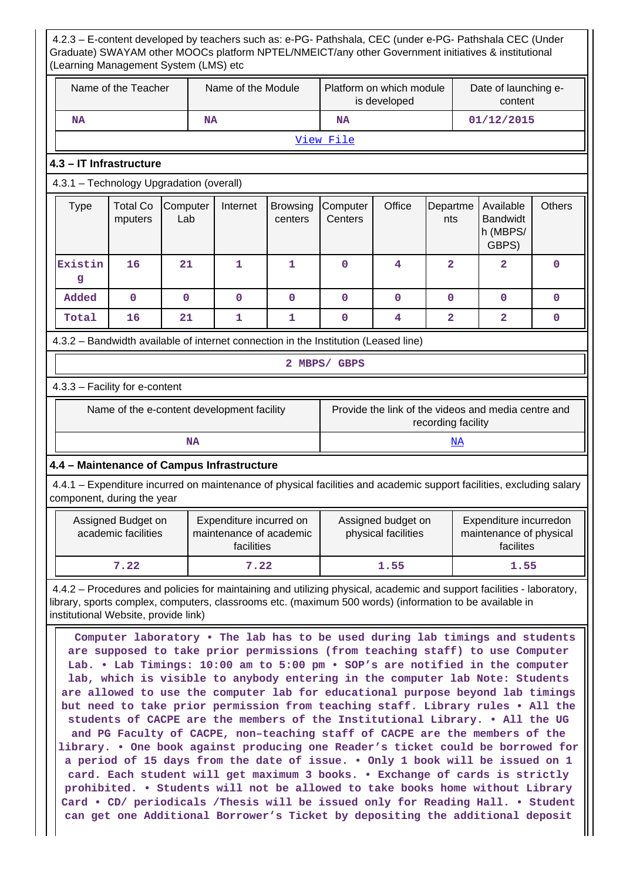4.2.3 – E-content developed by teachers such as: e-PG- Pathshala, CEC (under e-PG- Pathshala CEC (Under Graduate) SWAYAM other MOOCs platform NPTEL/NMEICT/any other Government initiatives & institutional (Learning Management System (LMS) etc Name of the Teacher  $\parallel$  Name of the Module Platform on which module is developed Date of launching econtent  **NA NA NA 01/12/2015** [View File](https://assessmentonline.naac.gov.in/public/Postacc/e-content_by_teachers/3297_e-content_by_teachers_1583309822.xlsx) **4.3 – IT Infrastructure** 4.3.1 – Technology Upgradation (overall)  $Type \mid Total Co$ mputers **Computer** Lab Internet Browsing centers **Computer Centers** Office Departme nts Available Bandwidt h (MBPS/ GBPS) **Others Existin g 16 21 1 1 0 4 2 2 0 Added 0 0 0 0 0 0 0 0 0 Total 16 21 1 1 0 4 2 2 0** 4.3.2 – Bandwidth available of internet connection in the Institution (Leased line) **2 MBPS/ GBPS** 4.3.3 – Facility for e-content Name of the e-content development facility Frovide the link of the videos and media centre and recording facility  **NA** <NA> **4.4 – Maintenance of Campus Infrastructure** 4.4.1 – Expenditure incurred on maintenance of physical facilities and academic support facilities, excluding salary component, during the year Assigned Budget on academic facilities Expenditure incurred on maintenance of academic facilities Assigned budget on physical facilities Expenditure incurredon maintenance of physical facilites  **7.22 7.22 1.55 1.55** 4.4.2 – Procedures and policies for maintaining and utilizing physical, academic and support facilities - laboratory, library, sports complex, computers, classrooms etc. (maximum 500 words) (information to be available in institutional Website, provide link) **Computer laboratory • The lab has to be used during lab timings and students are supposed to take prior permissions (from teaching staff) to use Computer Lab. • Lab Timings: 10:00 am to 5:00 pm • SOP's are notified in the computer lab, which is visible to anybody entering in the computer lab Note: Students are allowed to use the computer lab for educational purpose beyond lab timings but need to take prior permission from teaching staff. Library rules • All the students of CACPE are the members of the Institutional Library. • All the UG and PG Faculty of CACPE, non–teaching staff of CACPE are the members of the library. • One book against producing one Reader's ticket could be borrowed for a period of 15 days from the date of issue. • Only 1 book will be issued on 1 card. Each student will get maximum 3 books. • Exchange of cards is strictly prohibited. • Students will not be allowed to take books home without Library Card • CD/ periodicals /Thesis will be issued only for Reading Hall. • Student**

**can get one Additional Borrower's Ticket by depositing the additional deposit**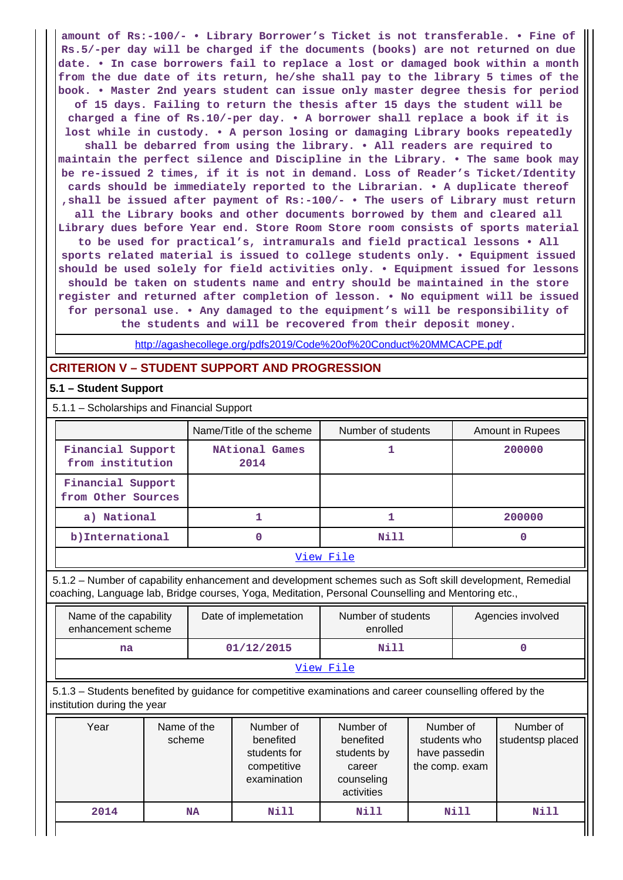**amount of Rs:-100/- • Library Borrower's Ticket is not transferable. • Fine of Rs.5/-per day will be charged if the documents (books) are not returned on due date. • In case borrowers fail to replace a lost or damaged book within a month from the due date of its return, he/she shall pay to the library 5 times of the book. • Master 2nd years student can issue only master degree thesis for period of 15 days. Failing to return the thesis after 15 days the student will be charged a fine of Rs.10/-per day. • A borrower shall replace a book if it is lost while in custody. • A person losing or damaging Library books repeatedly shall be debarred from using the library. • All readers are required to maintain the perfect silence and Discipline in the Library. • The same book may be re-issued 2 times, if it is not in demand. Loss of Reader's Ticket/Identity cards should be immediately reported to the Librarian. • A duplicate thereof ,shall be issued after payment of Rs:-100/- • The users of Library must return all the Library books and other documents borrowed by them and cleared all Library dues before Year end. Store Room Store room consists of sports material to be used for practical's, intramurals and field practical lessons • All sports related material is issued to college students only. • Equipment issued should be used solely for field activities only. • Equipment issued for lessons should be taken on students name and entry should be maintained in the store register and returned after completion of lesson. • No equipment will be issued for personal use. • Any damaged to the equipment's will be responsibility of the students and will be recovered from their deposit money.**

<http://agashecollege.org/pdfs2019/Code%20of%20Conduct%20MMCACPE.pdf>

# **CRITERION V – STUDENT SUPPORT AND PROGRESSION**

### **5.1 – Student Support**

5.1.1 – Scholarships and Financial Support

|                                         | Name/Title of the scheme      | Number of students | Amount in Rupees |  |  |
|-----------------------------------------|-------------------------------|--------------------|------------------|--|--|
| Financial Support<br>from institution   | <b>NAtional Games</b><br>2014 |                    | 200000           |  |  |
| Financial Support<br>from Other Sources |                               |                    |                  |  |  |
| a) National                             |                               |                    | 200000           |  |  |
| b) International                        |                               | Nill               |                  |  |  |
| View File                               |                               |                    |                  |  |  |

 5.1.2 – Number of capability enhancement and development schemes such as Soft skill development, Remedial coaching, Language lab, Bridge courses, Yoga, Meditation, Personal Counselling and Mentoring etc.,

| Name of the capability<br>enhancement scheme | Date of implemetation | Number of students<br>enrolled | Agencies involved |  |  |
|----------------------------------------------|-----------------------|--------------------------------|-------------------|--|--|
| na                                           | 01/12/2015            | Nill                           |                   |  |  |
| View File                                    |                       |                                |                   |  |  |

 5.1.3 – Students benefited by guidance for competitive examinations and career counselling offered by the institution during the year

| Year | Name of the<br>scheme | Number of<br>benefited<br>students for<br>competitive<br>examination | Number of<br>benefited<br>students by<br>career<br>counseling<br>activities | Number of<br>students who<br>have passedin<br>the comp. exam | Number of<br>studentsp placed |
|------|-----------------------|----------------------------------------------------------------------|-----------------------------------------------------------------------------|--------------------------------------------------------------|-------------------------------|
| 2014 | NA                    | <b>Nill</b>                                                          | Nill                                                                        | Nill                                                         | Nill                          |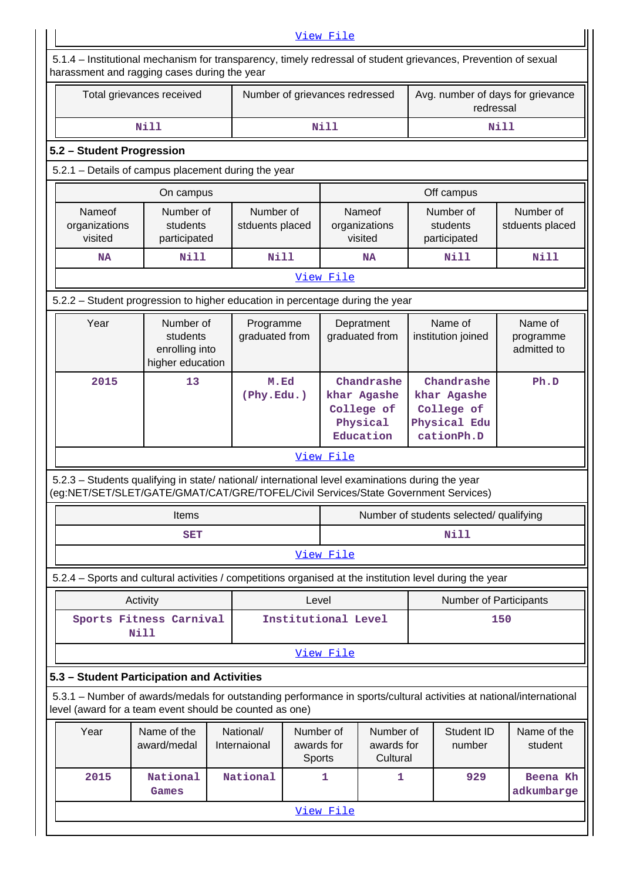| View File                                                                                                                                                      |                                                                                                                                                                                        |                              |                                   |                                                                  |                                     |                                                                       |                                         |                                     |
|----------------------------------------------------------------------------------------------------------------------------------------------------------------|----------------------------------------------------------------------------------------------------------------------------------------------------------------------------------------|------------------------------|-----------------------------------|------------------------------------------------------------------|-------------------------------------|-----------------------------------------------------------------------|-----------------------------------------|-------------------------------------|
| 5.1.4 – Institutional mechanism for transparency, timely redressal of student grievances, Prevention of sexual<br>harassment and ragging cases during the year |                                                                                                                                                                                        |                              |                                   |                                                                  |                                     |                                                                       |                                         |                                     |
|                                                                                                                                                                | Total grievances received                                                                                                                                                              |                              | Number of grievances redressed    |                                                                  |                                     |                                                                       | redressal                               | Avg. number of days for grievance   |
|                                                                                                                                                                | <b>Nill</b>                                                                                                                                                                            |                              | <b>Nill</b>                       |                                                                  |                                     |                                                                       |                                         | Nill                                |
| 5.2 - Student Progression                                                                                                                                      |                                                                                                                                                                                        |                              |                                   |                                                                  |                                     |                                                                       |                                         |                                     |
|                                                                                                                                                                | 5.2.1 - Details of campus placement during the year                                                                                                                                    |                              |                                   |                                                                  |                                     |                                                                       |                                         |                                     |
|                                                                                                                                                                | On campus                                                                                                                                                                              |                              |                                   |                                                                  |                                     |                                                                       | Off campus                              |                                     |
| Nameof<br>organizations<br>visited                                                                                                                             | Number of<br>students<br>participated                                                                                                                                                  | Number of<br>stduents placed |                                   | organizations<br>visited                                         | Nameof                              |                                                                       | Number of<br>students<br>participated   | Number of<br>stduents placed        |
| <b>NA</b>                                                                                                                                                      | <b>Nill</b>                                                                                                                                                                            | <b>Nill</b>                  |                                   |                                                                  | <b>NA</b>                           |                                                                       | Nill                                    | Nill                                |
|                                                                                                                                                                |                                                                                                                                                                                        |                              |                                   | View File                                                        |                                     |                                                                       |                                         |                                     |
|                                                                                                                                                                | 5.2.2 - Student progression to higher education in percentage during the year                                                                                                          |                              |                                   |                                                                  |                                     |                                                                       |                                         |                                     |
| Year                                                                                                                                                           | Number of<br>students<br>enrolling into<br>higher education                                                                                                                            | Programme<br>graduated from  |                                   | graduated from                                                   | Depratment                          |                                                                       | Name of<br>institution joined           | Name of<br>programme<br>admitted to |
| 2015                                                                                                                                                           | 13                                                                                                                                                                                     | M.Ed<br>(Phy.Edu.)           |                                   | Chandrashe<br>khar Agashe<br>College of<br>Physical<br>Education |                                     | Chandrashe<br>khar Agashe<br>College of<br>Physical Edu<br>cationPh.D |                                         | Ph.D                                |
|                                                                                                                                                                |                                                                                                                                                                                        |                              |                                   | View File                                                        |                                     |                                                                       |                                         |                                     |
|                                                                                                                                                                | 5.2.3 - Students qualifying in state/ national/ international level examinations during the year<br>(eg:NET/SET/SLET/GATE/GMAT/CAT/GRE/TOFEL/Civil Services/State Government Services) |                              |                                   |                                                                  |                                     |                                                                       |                                         |                                     |
|                                                                                                                                                                | Items                                                                                                                                                                                  |                              |                                   |                                                                  |                                     |                                                                       | Number of students selected/ qualifying |                                     |
|                                                                                                                                                                | <b>SET</b>                                                                                                                                                                             |                              |                                   | Nill                                                             |                                     |                                                                       |                                         |                                     |
|                                                                                                                                                                |                                                                                                                                                                                        |                              |                                   | View File                                                        |                                     |                                                                       |                                         |                                     |
|                                                                                                                                                                | 5.2.4 - Sports and cultural activities / competitions organised at the institution level during the year                                                                               |                              |                                   |                                                                  |                                     |                                                                       |                                         |                                     |
|                                                                                                                                                                | Activity                                                                                                                                                                               |                              | Level                             |                                                                  |                                     |                                                                       | Number of Participants                  |                                     |
|                                                                                                                                                                | Sports Fitness Carnival<br>Nill                                                                                                                                                        |                              | Institutional Level               |                                                                  |                                     |                                                                       |                                         | 150                                 |
|                                                                                                                                                                |                                                                                                                                                                                        |                              |                                   | View File                                                        |                                     |                                                                       |                                         |                                     |
|                                                                                                                                                                | 5.3 - Student Participation and Activities                                                                                                                                             |                              |                                   |                                                                  |                                     |                                                                       |                                         |                                     |
|                                                                                                                                                                | 5.3.1 – Number of awards/medals for outstanding performance in sports/cultural activities at national/international<br>level (award for a team event should be counted as one)         |                              |                                   |                                                                  |                                     |                                                                       |                                         |                                     |
| Year                                                                                                                                                           | Name of the<br>award/medal                                                                                                                                                             | National/<br>Internaional    | Number of<br>awards for<br>Sports |                                                                  | Number of<br>awards for<br>Cultural |                                                                       | Student ID<br>number                    | Name of the<br>student              |
| 2015                                                                                                                                                           |                                                                                                                                                                                        | 1                            | 1                                 |                                                                  | 929                                 | Beena Kh<br>adkumbarge                                                |                                         |                                     |
|                                                                                                                                                                |                                                                                                                                                                                        |                              |                                   |                                                                  |                                     |                                                                       |                                         |                                     |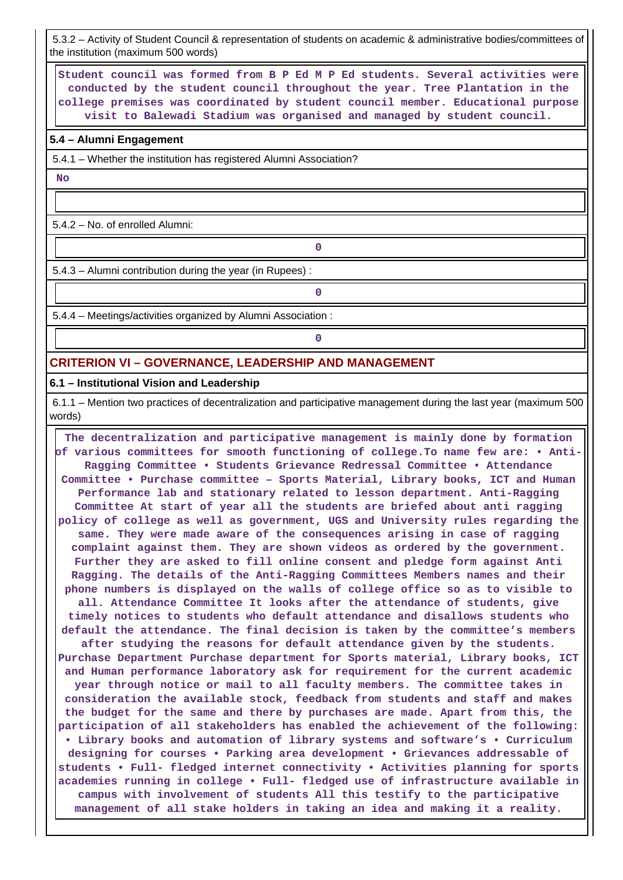5.3.2 – Activity of Student Council & representation of students on academic & administrative bodies/committees of the institution (maximum 500 words)

 **Student council was formed from B P Ed M P Ed students. Several activities were conducted by the student council throughout the year. Tree Plantation in the college premises was coordinated by student council member. Educational purpose visit to Balewadi Stadium was organised and managed by student council.**

#### **5.4 – Alumni Engagement**

5.4.1 – Whether the institution has registered Alumni Association?

 **No**

5.4.2 – No. of enrolled Alumni:

5.4.3 – Alumni contribution during the year (in Rupees) :

**0**

**0**

**0**

5.4.4 – Meetings/activities organized by Alumni Association :

### **CRITERION VI – GOVERNANCE, LEADERSHIP AND MANAGEMENT**

#### **6.1 – Institutional Vision and Leadership**

 6.1.1 – Mention two practices of decentralization and participative management during the last year (maximum 500 words)

 **The decentralization and participative management is mainly done by formation of various committees for smooth functioning of college.To name few are: • Anti-Ragging Committee • Students Grievance Redressal Committee • Attendance Committee • Purchase committee – Sports Material, Library books, ICT and Human Performance lab and stationary related to lesson department. Anti-Ragging Committee At start of year all the students are briefed about anti ragging policy of college as well as government, UGS and University rules regarding the same. They were made aware of the consequences arising in case of ragging complaint against them. They are shown videos as ordered by the government. Further they are asked to fill online consent and pledge form against Anti Ragging. The details of the Anti-Ragging Committees Members names and their phone numbers is displayed on the walls of college office so as to visible to all. Attendance Committee It looks after the attendance of students, give timely notices to students who default attendance and disallows students who default the attendance. The final decision is taken by the committee's members after studying the reasons for default attendance given by the students. Purchase Department Purchase department for Sports material, Library books, ICT and Human performance laboratory ask for requirement for the current academic year through notice or mail to all faculty members. The committee takes in consideration the available stock, feedback from students and staff and makes the budget for the same and there by purchases are made. Apart from this, the participation of all stakeholders has enabled the achievement of the following: • Library books and automation of library systems and software's • Curriculum designing for courses • Parking area development • Grievances addressable of students • Full- fledged internet connectivity • Activities planning for sports academies running in college • Full- fledged use of infrastructure available in campus with involvement of students All this testify to the participative management of all stake holders in taking an idea and making it a reality.**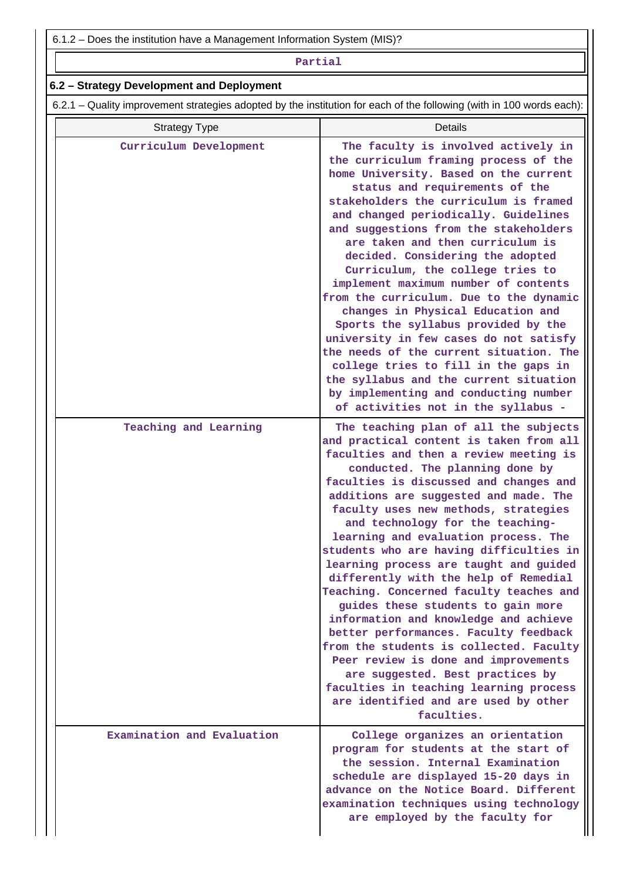#### **Partial**

# **6.2 – Strategy Development and Deployment**

6.2.1 – Quality improvement strategies adopted by the institution for each of the following (with in 100 words each):

| <b>Strategy Type</b>       | Details                                                                                                                                                                                                                                                                                                                                                                                                                                                                                                                                                                                                                                                                                                                                                                                                                                                                                      |
|----------------------------|----------------------------------------------------------------------------------------------------------------------------------------------------------------------------------------------------------------------------------------------------------------------------------------------------------------------------------------------------------------------------------------------------------------------------------------------------------------------------------------------------------------------------------------------------------------------------------------------------------------------------------------------------------------------------------------------------------------------------------------------------------------------------------------------------------------------------------------------------------------------------------------------|
| Curriculum Development     | The faculty is involved actively in<br>the curriculum framing process of the<br>home University. Based on the current<br>status and requirements of the<br>stakeholders the curriculum is framed<br>and changed periodically. Guidelines<br>and suggestions from the stakeholders<br>are taken and then curriculum is<br>decided. Considering the adopted<br>Curriculum, the college tries to<br>implement maximum number of contents<br>from the curriculum. Due to the dynamic<br>changes in Physical Education and<br>Sports the syllabus provided by the<br>university in few cases do not satisfy<br>the needs of the current situation. The<br>college tries to fill in the gaps in<br>the syllabus and the current situation<br>by implementing and conducting number<br>of activities not in the syllabus -                                                                          |
| Teaching and Learning      | The teaching plan of all the subjects<br>and practical content is taken from all<br>faculties and then a review meeting is<br>conducted. The planning done by<br>faculties is discussed and changes and<br>additions are suggested and made. The<br>faculty uses new methods, strategies<br>and technology for the teaching-<br>learning and evaluation process. The<br>students who are having difficulties in<br>learning process are taught and guided<br>differently with the help of Remedial<br>Teaching. Concerned faculty teaches and<br>guides these students to gain more<br>information and knowledge and achieve<br>better performances. Faculty feedback<br>from the students is collected. Faculty<br>Peer review is done and improvements<br>are suggested. Best practices by<br>faculties in teaching learning process<br>are identified and are used by other<br>faculties. |
| Examination and Evaluation | College organizes an orientation<br>program for students at the start of<br>the session. Internal Examination<br>schedule are displayed 15-20 days in<br>advance on the Notice Board. Different<br>examination techniques using technology<br>are employed by the faculty for                                                                                                                                                                                                                                                                                                                                                                                                                                                                                                                                                                                                                |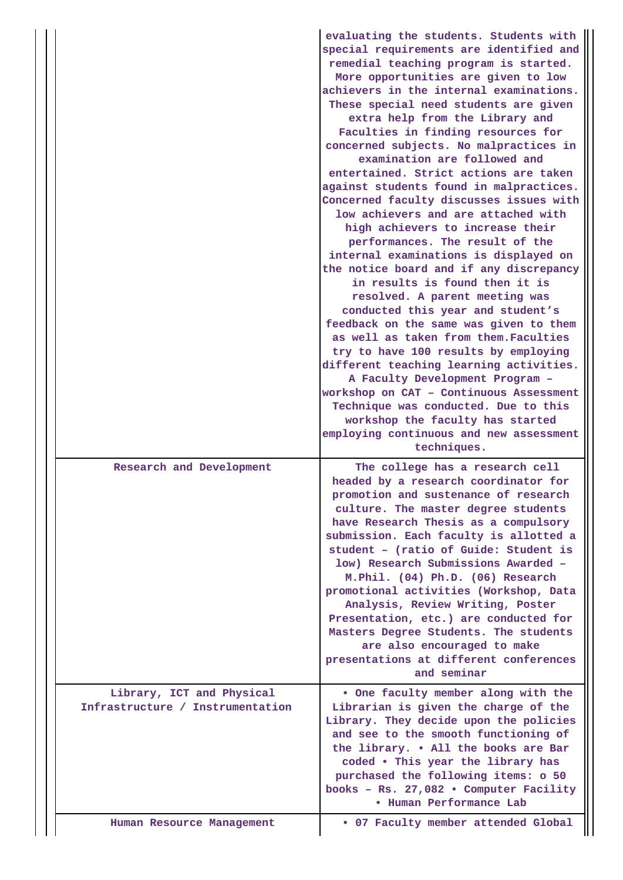|  |                                                               | evaluating the students. Students with<br>special requirements are identified and<br>remedial teaching program is started.<br>More opportunities are given to low<br>achievers in the internal examinations.<br>These special need students are given<br>extra help from the Library and<br>Faculties in finding resources for<br>concerned subjects. No malpractices in<br>examination are followed and<br>entertained. Strict actions are taken<br>against students found in malpractices.<br>Concerned faculty discusses issues with<br>low achievers and are attached with<br>high achievers to increase their<br>performances. The result of the<br>internal examinations is displayed on<br>the notice board and if any discrepancy<br>in results is found then it is<br>resolved. A parent meeting was<br>conducted this year and student's<br>feedback on the same was given to them<br>as well as taken from them. Faculties<br>try to have 100 results by employing<br>different teaching learning activities.<br>A Faculty Development Program -<br>workshop on CAT - Continuous Assessment<br>Technique was conducted. Due to this<br>workshop the faculty has started<br>employing continuous and new assessment<br>techniques. |
|--|---------------------------------------------------------------|----------------------------------------------------------------------------------------------------------------------------------------------------------------------------------------------------------------------------------------------------------------------------------------------------------------------------------------------------------------------------------------------------------------------------------------------------------------------------------------------------------------------------------------------------------------------------------------------------------------------------------------------------------------------------------------------------------------------------------------------------------------------------------------------------------------------------------------------------------------------------------------------------------------------------------------------------------------------------------------------------------------------------------------------------------------------------------------------------------------------------------------------------------------------------------------------------------------------------------------------|
|  | Research and Development                                      | The college has a research cell<br>headed by a research coordinator for<br>promotion and sustenance of research<br>culture. The master degree students<br>have Research Thesis as a compulsory<br>submission. Each faculty is allotted a<br>student - (ratio of Guide: Student is<br>low) Research Submissions Awarded -<br>M.Phil. (04) Ph.D. (06) Research<br>promotional activities (Workshop, Data<br>Analysis, Review Writing, Poster<br>Presentation, etc.) are conducted for<br>Masters Degree Students. The students<br>are also encouraged to make<br>presentations at different conferences<br>and seminar                                                                                                                                                                                                                                                                                                                                                                                                                                                                                                                                                                                                                         |
|  | Library, ICT and Physical<br>Infrastructure / Instrumentation | . One faculty member along with the<br>Librarian is given the charge of the<br>Library. They decide upon the policies<br>and see to the smooth functioning of<br>the library. . All the books are Bar<br>coded . This year the library has<br>purchased the following items: o 50<br>books - Rs. 27,082 . Computer Facility<br><b>• Human Performance Lab</b>                                                                                                                                                                                                                                                                                                                                                                                                                                                                                                                                                                                                                                                                                                                                                                                                                                                                                |
|  | Human Resource Management                                     | . 07 Faculty member attended Global                                                                                                                                                                                                                                                                                                                                                                                                                                                                                                                                                                                                                                                                                                                                                                                                                                                                                                                                                                                                                                                                                                                                                                                                          |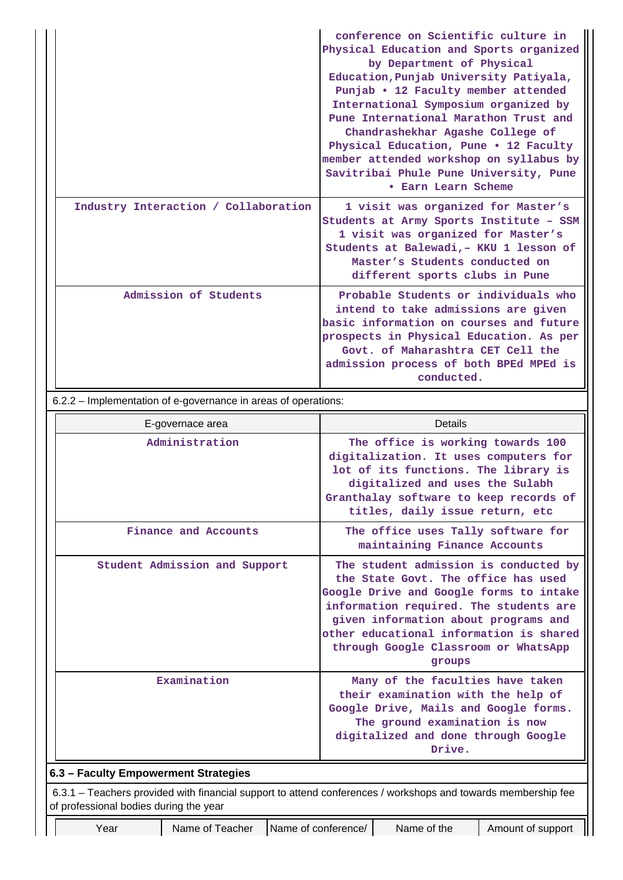|                                      | conference on Scientific culture in<br>Physical Education and Sports organized<br>by Department of Physical<br>Education, Punjab University Patiyala,<br>Punjab • 12 Faculty member attended<br>International Symposium organized by<br>Pune International Marathon Trust and<br>Chandrashekhar Agashe College of<br>Physical Education, Pune . 12 Faculty<br>member attended workshop on syllabus by<br>Savitribai Phule Pune University, Pune<br><b>• Earn Learn Scheme</b> |
|--------------------------------------|-------------------------------------------------------------------------------------------------------------------------------------------------------------------------------------------------------------------------------------------------------------------------------------------------------------------------------------------------------------------------------------------------------------------------------------------------------------------------------|
| Industry Interaction / Collaboration | 1 visit was organized for Master's<br>Students at Army Sports Institute - SSM<br>1 visit was organized for Master's<br>Students at Balewadi, - KKU 1 lesson of<br>Master's Students conducted on<br>different sports clubs in Pune                                                                                                                                                                                                                                            |
| Admission of Students                | Probable Students or individuals who<br>intend to take admissions are given<br>basic information on courses and future<br>prospects in Physical Education. As per<br>Govt, of Maharashtra CET Cell the<br>admission process of both BPEd MPEd is<br>conducted.                                                                                                                                                                                                                |

| E-governace area                                                                                                                                        | Details                                                                                                                                                                                                                                                                                                |  |  |  |  |  |  |
|---------------------------------------------------------------------------------------------------------------------------------------------------------|--------------------------------------------------------------------------------------------------------------------------------------------------------------------------------------------------------------------------------------------------------------------------------------------------------|--|--|--|--|--|--|
| Administration                                                                                                                                          | The office is working towards 100<br>digitalization. It uses computers for<br>lot of its functions. The library is<br>digitalized and uses the Sulabh<br>Granthalay software to keep records of<br>titles, daily issue return, etc                                                                     |  |  |  |  |  |  |
| Finance and Accounts                                                                                                                                    | The office uses Tally software for<br>maintaining Finance Accounts                                                                                                                                                                                                                                     |  |  |  |  |  |  |
| Student Admission and Support                                                                                                                           | The student admission is conducted by<br>the State Govt. The office has used<br>Google Drive and Google forms to intake<br>information required. The students are<br>given information about programs and<br>other educational information is shared<br>through Google Classroom or WhatsApp<br>groups |  |  |  |  |  |  |
| Examination                                                                                                                                             | Many of the faculties have taken<br>their examination with the help of<br>Google Drive, Mails and Google forms.<br>The ground examination is now<br>digitalized and done through Google<br>Drive.                                                                                                      |  |  |  |  |  |  |
| 6.3 - Faculty Empowerment Strategies                                                                                                                    |                                                                                                                                                                                                                                                                                                        |  |  |  |  |  |  |
| 6.3.1 – Teachers provided with financial support to attend conferences / workshops and towards membership fee<br>of professional bodies during the year |                                                                                                                                                                                                                                                                                                        |  |  |  |  |  |  |

 $\mathop{\parallel}$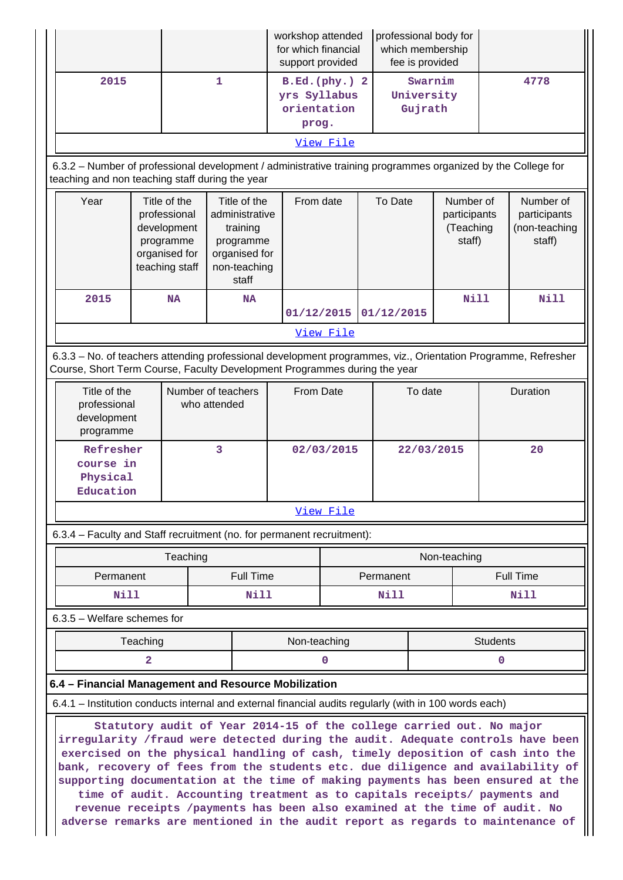|                                                                                                                                                                                                                                                                                                                                                                                                                                                                                                                                                                                                                                                              |                                                                                                                                                                 |           |                                                                                                   | workshop attended<br>for which financial<br>support provided |                  |            | professional body for<br>which membership<br>fee is provided |             |                                                      |                          |  |
|--------------------------------------------------------------------------------------------------------------------------------------------------------------------------------------------------------------------------------------------------------------------------------------------------------------------------------------------------------------------------------------------------------------------------------------------------------------------------------------------------------------------------------------------------------------------------------------------------------------------------------------------------------------|-----------------------------------------------------------------------------------------------------------------------------------------------------------------|-----------|---------------------------------------------------------------------------------------------------|--------------------------------------------------------------|------------------|------------|--------------------------------------------------------------|-------------|------------------------------------------------------|--------------------------|--|
| 2015                                                                                                                                                                                                                                                                                                                                                                                                                                                                                                                                                                                                                                                         | $\mathbf 1$                                                                                                                                                     |           |                                                                                                   | B.Ed.(phy.) 2<br>yrs Syllabus<br>orientation<br>prog.        |                  |            | Swarnim<br>University<br>Gujrath                             |             | 4778                                                 |                          |  |
| View File                                                                                                                                                                                                                                                                                                                                                                                                                                                                                                                                                                                                                                                    |                                                                                                                                                                 |           |                                                                                                   |                                                              |                  |            |                                                              |             |                                                      |                          |  |
|                                                                                                                                                                                                                                                                                                                                                                                                                                                                                                                                                                                                                                                              | 6.3.2 - Number of professional development / administrative training programmes organized by the College for<br>teaching and non teaching staff during the year |           |                                                                                                   |                                                              |                  |            |                                                              |             |                                                      |                          |  |
| Year                                                                                                                                                                                                                                                                                                                                                                                                                                                                                                                                                                                                                                                         | Title of the<br>professional<br>development<br>programme<br>organised for<br>teaching staff                                                                     |           | Title of the<br>administrative<br>training<br>programme<br>organised for<br>non-teaching<br>staff | From date                                                    |                  |            | To Date<br>Number of<br>participants<br>(Teaching<br>staff)  |             | Number of<br>participants<br>(non-teaching<br>staff) |                          |  |
| 2015                                                                                                                                                                                                                                                                                                                                                                                                                                                                                                                                                                                                                                                         |                                                                                                                                                                 | <b>NA</b> | <b>NA</b>                                                                                         |                                                              | 01/12/2015       |            |                                                              | <b>Nill</b> | <b>Nill</b>                                          |                          |  |
|                                                                                                                                                                                                                                                                                                                                                                                                                                                                                                                                                                                                                                                              |                                                                                                                                                                 |           |                                                                                                   |                                                              | View File        | 01/12/2015 |                                                              |             |                                                      |                          |  |
| 6.3.3 - No. of teachers attending professional development programmes, viz., Orientation Programme, Refresher                                                                                                                                                                                                                                                                                                                                                                                                                                                                                                                                                |                                                                                                                                                                 |           |                                                                                                   |                                                              |                  |            |                                                              |             |                                                      |                          |  |
| Course, Short Term Course, Faculty Development Programmes during the year                                                                                                                                                                                                                                                                                                                                                                                                                                                                                                                                                                                    |                                                                                                                                                                 |           |                                                                                                   |                                                              |                  |            |                                                              |             |                                                      |                          |  |
|                                                                                                                                                                                                                                                                                                                                                                                                                                                                                                                                                                                                                                                              | Title of the<br>Number of teachers<br>professional<br>who attended<br>development<br>programme                                                                  |           |                                                                                                   | From Date                                                    |                  | To date    |                                                              |             | Duration                                             |                          |  |
|                                                                                                                                                                                                                                                                                                                                                                                                                                                                                                                                                                                                                                                              | 3<br>Refresher<br>course in<br>Physical<br>Education                                                                                                            |           |                                                                                                   | 02/03/2015                                                   |                  |            | 22/03/2015<br>20                                             |             |                                                      |                          |  |
|                                                                                                                                                                                                                                                                                                                                                                                                                                                                                                                                                                                                                                                              |                                                                                                                                                                 |           |                                                                                                   |                                                              | View File        |            |                                                              |             |                                                      |                          |  |
| 6.3.4 - Faculty and Staff recruitment (no. for permanent recruitment):                                                                                                                                                                                                                                                                                                                                                                                                                                                                                                                                                                                       |                                                                                                                                                                 |           |                                                                                                   |                                                              |                  |            |                                                              |             |                                                      |                          |  |
| Permanent                                                                                                                                                                                                                                                                                                                                                                                                                                                                                                                                                                                                                                                    |                                                                                                                                                                 | Teaching  | Full Time                                                                                         |                                                              |                  | Permanent  | Non-teaching                                                 |             |                                                      |                          |  |
| <b>Nill</b>                                                                                                                                                                                                                                                                                                                                                                                                                                                                                                                                                                                                                                                  |                                                                                                                                                                 |           | Nill                                                                                              |                                                              |                  | Nill       |                                                              |             |                                                      | <b>Full Time</b><br>Nill |  |
| 6.3.5 - Welfare schemes for                                                                                                                                                                                                                                                                                                                                                                                                                                                                                                                                                                                                                                  |                                                                                                                                                                 |           |                                                                                                   |                                                              |                  |            |                                                              |             |                                                      |                          |  |
|                                                                                                                                                                                                                                                                                                                                                                                                                                                                                                                                                                                                                                                              | Non-teaching<br>Teaching<br><b>Students</b>                                                                                                                     |           |                                                                                                   |                                                              |                  |            |                                                              |             |                                                      |                          |  |
|                                                                                                                                                                                                                                                                                                                                                                                                                                                                                                                                                                                                                                                              | $\mathbf{2}$                                                                                                                                                    |           |                                                                                                   |                                                              | 0<br>$\mathbf 0$ |            |                                                              |             |                                                      |                          |  |
|                                                                                                                                                                                                                                                                                                                                                                                                                                                                                                                                                                                                                                                              | 6.4 - Financial Management and Resource Mobilization                                                                                                            |           |                                                                                                   |                                                              |                  |            |                                                              |             |                                                      |                          |  |
|                                                                                                                                                                                                                                                                                                                                                                                                                                                                                                                                                                                                                                                              | 6.4.1 – Institution conducts internal and external financial audits regularly (with in 100 words each)                                                          |           |                                                                                                   |                                                              |                  |            |                                                              |             |                                                      |                          |  |
| Statutory audit of Year 2014-15 of the college carried out. No major<br>irregularity /fraud were detected during the audit. Adequate controls have been<br>exercised on the physical handling of cash, timely deposition of cash into the<br>bank, recovery of fees from the students etc. due diligence and availability of<br>supporting documentation at the time of making payments has been ensured at the<br>time of audit. Accounting treatment as to capitals receipts/ payments and<br>revenue receipts /payments has been also examined at the time of audit. No<br>adverse remarks are mentioned in the audit report as regards to maintenance of |                                                                                                                                                                 |           |                                                                                                   |                                                              |                  |            |                                                              |             |                                                      |                          |  |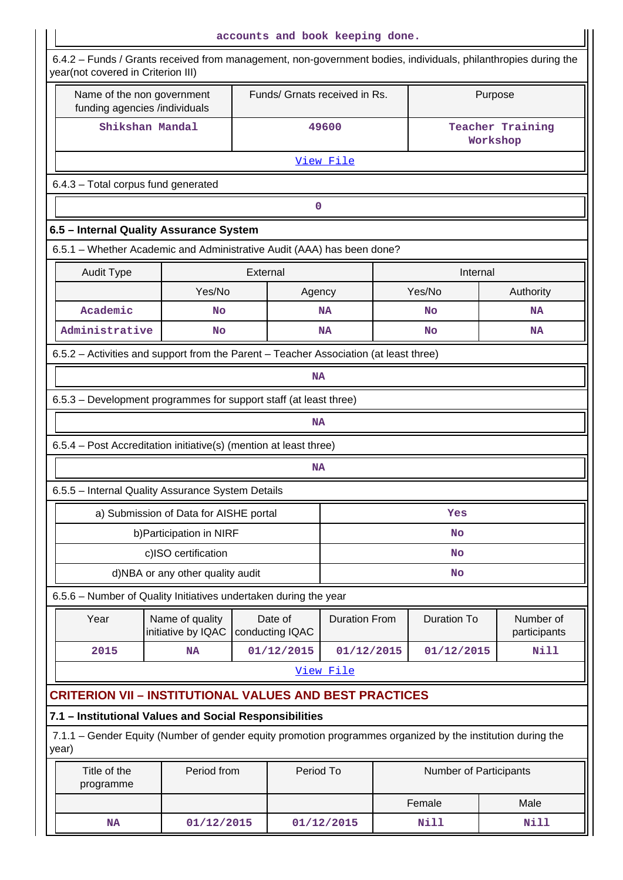| accounts and book keeping done.                                                                                                                      |                                                                   |                                              |                            |                               |  |                        |         |                           |  |  |
|------------------------------------------------------------------------------------------------------------------------------------------------------|-------------------------------------------------------------------|----------------------------------------------|----------------------------|-------------------------------|--|------------------------|---------|---------------------------|--|--|
| 6.4.2 – Funds / Grants received from management, non-government bodies, individuals, philanthropies during the<br>year(not covered in Criterion III) |                                                                   |                                              |                            |                               |  |                        |         |                           |  |  |
| Name of the non government<br>funding agencies /individuals                                                                                          |                                                                   |                                              |                            | Funds/ Grnats received in Rs. |  |                        | Purpose |                           |  |  |
| Shikshan Mandal                                                                                                                                      |                                                                   | 49600<br><b>Teacher Training</b><br>Workshop |                            |                               |  |                        |         |                           |  |  |
| View File                                                                                                                                            |                                                                   |                                              |                            |                               |  |                        |         |                           |  |  |
| 6.4.3 - Total corpus fund generated                                                                                                                  |                                                                   |                                              |                            |                               |  |                        |         |                           |  |  |
|                                                                                                                                                      |                                                                   |                                              | $\mathbf 0$                |                               |  |                        |         |                           |  |  |
| 6.5 - Internal Quality Assurance System                                                                                                              |                                                                   |                                              |                            |                               |  |                        |         |                           |  |  |
| 6.5.1 - Whether Academic and Administrative Audit (AAA) has been done?                                                                               |                                                                   |                                              |                            |                               |  |                        |         |                           |  |  |
| <b>Audit Type</b>                                                                                                                                    | External<br>Internal                                              |                                              |                            |                               |  |                        |         |                           |  |  |
|                                                                                                                                                      | Yes/No                                                            |                                              | Agency                     |                               |  | Yes/No                 |         | Authority                 |  |  |
| Academic                                                                                                                                             | No                                                                |                                              |                            | <b>NA</b>                     |  | No                     |         | <b>NA</b>                 |  |  |
| Administrative                                                                                                                                       | No                                                                |                                              |                            | <b>NA</b>                     |  | No                     |         | <b>NA</b>                 |  |  |
| 6.5.2 - Activities and support from the Parent - Teacher Association (at least three)                                                                |                                                                   |                                              |                            |                               |  |                        |         |                           |  |  |
| <b>NA</b>                                                                                                                                            |                                                                   |                                              |                            |                               |  |                        |         |                           |  |  |
| 6.5.3 – Development programmes for support staff (at least three)                                                                                    |                                                                   |                                              |                            |                               |  |                        |         |                           |  |  |
|                                                                                                                                                      |                                                                   |                                              | <b>NA</b>                  |                               |  |                        |         |                           |  |  |
|                                                                                                                                                      | 6.5.4 - Post Accreditation initiative(s) (mention at least three) |                                              |                            |                               |  |                        |         |                           |  |  |
|                                                                                                                                                      | <b>NA</b>                                                         |                                              |                            |                               |  |                        |         |                           |  |  |
| 6.5.5 - Internal Quality Assurance System Details                                                                                                    |                                                                   |                                              |                            |                               |  |                        |         |                           |  |  |
|                                                                                                                                                      | a) Submission of Data for AISHE portal                            |                                              |                            |                               |  | Yes                    |         |                           |  |  |
|                                                                                                                                                      | b) Participation in NIRF                                          |                                              |                            |                               |  | <b>No</b>              |         |                           |  |  |
|                                                                                                                                                      | c)ISO certification                                               | No                                           |                            |                               |  |                        |         |                           |  |  |
|                                                                                                                                                      | d)NBA or any other quality audit                                  |                                              |                            |                               |  | <b>No</b>              |         |                           |  |  |
| 6.5.6 - Number of Quality Initiatives undertaken during the year                                                                                     |                                                                   |                                              |                            |                               |  |                        |         |                           |  |  |
| Year                                                                                                                                                 | Name of quality<br>initiative by IQAC                             |                                              | Date of<br>conducting IQAC | <b>Duration From</b>          |  | <b>Duration To</b>     |         | Number of<br>participants |  |  |
| 2015                                                                                                                                                 | NA                                                                |                                              | 01/12/2015                 | 01/12/2015                    |  | 01/12/2015             |         | <b>Nill</b>               |  |  |
|                                                                                                                                                      |                                                                   |                                              |                            | View File                     |  |                        |         |                           |  |  |
| <b>CRITERION VII - INSTITUTIONAL VALUES AND BEST PRACTICES</b>                                                                                       |                                                                   |                                              |                            |                               |  |                        |         |                           |  |  |
| 7.1 - Institutional Values and Social Responsibilities                                                                                               |                                                                   |                                              |                            |                               |  |                        |         |                           |  |  |
| 7.1.1 – Gender Equity (Number of gender equity promotion programmes organized by the institution during the<br>year)                                 |                                                                   |                                              |                            |                               |  |                        |         |                           |  |  |
| Title of the<br>programme                                                                                                                            | Period from                                                       |                                              | Period To                  |                               |  | Number of Participants |         |                           |  |  |
|                                                                                                                                                      |                                                                   |                                              |                            |                               |  | Female                 |         | Male                      |  |  |
| <b>NA</b>                                                                                                                                            | 01/12/2015                                                        |                                              |                            | 01/12/2015                    |  | Nill                   |         | Nill                      |  |  |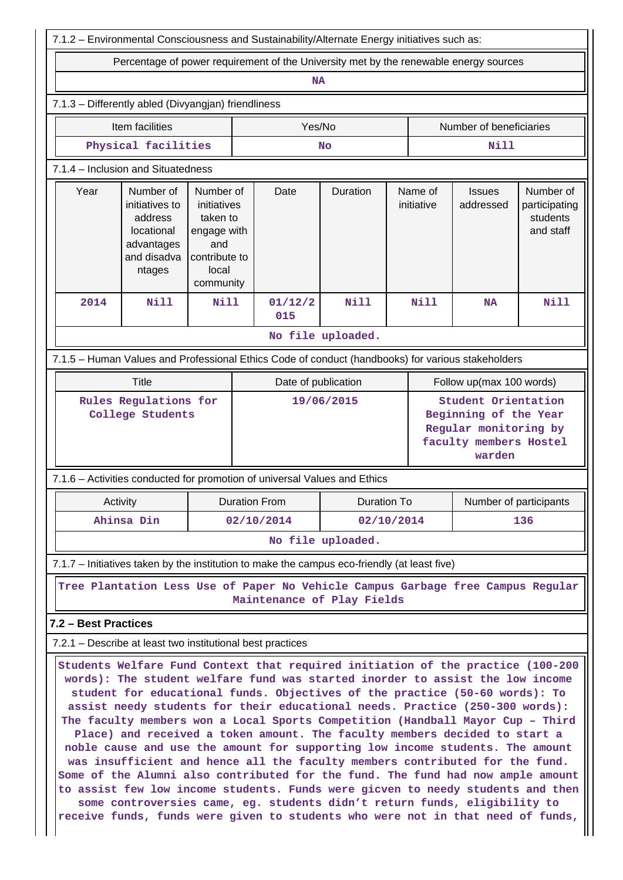| 7.1.2 - Environmental Consciousness and Sustainability/Alternate Energy initiatives such as:      |                                                                                             |                                                                                                   |                                     |                                                                                                                                                                                                                                                                                                                                                                                                                                                                                                                                                                                                                                                                                                                                                                                                                                                                                                                                                                                                        |                                               |                       |                         |                                                                                                           |                                                     |  |
|---------------------------------------------------------------------------------------------------|---------------------------------------------------------------------------------------------|---------------------------------------------------------------------------------------------------|-------------------------------------|--------------------------------------------------------------------------------------------------------------------------------------------------------------------------------------------------------------------------------------------------------------------------------------------------------------------------------------------------------------------------------------------------------------------------------------------------------------------------------------------------------------------------------------------------------------------------------------------------------------------------------------------------------------------------------------------------------------------------------------------------------------------------------------------------------------------------------------------------------------------------------------------------------------------------------------------------------------------------------------------------------|-----------------------------------------------|-----------------------|-------------------------|-----------------------------------------------------------------------------------------------------------|-----------------------------------------------------|--|
| Percentage of power requirement of the University met by the renewable energy sources             |                                                                                             |                                                                                                   |                                     |                                                                                                                                                                                                                                                                                                                                                                                                                                                                                                                                                                                                                                                                                                                                                                                                                                                                                                                                                                                                        |                                               |                       |                         |                                                                                                           |                                                     |  |
|                                                                                                   |                                                                                             |                                                                                                   |                                     | <b>NA</b>                                                                                                                                                                                                                                                                                                                                                                                                                                                                                                                                                                                                                                                                                                                                                                                                                                                                                                                                                                                              |                                               |                       |                         |                                                                                                           |                                                     |  |
| 7.1.3 - Differently abled (Divyangjan) friendliness                                               |                                                                                             |                                                                                                   |                                     |                                                                                                                                                                                                                                                                                                                                                                                                                                                                                                                                                                                                                                                                                                                                                                                                                                                                                                                                                                                                        |                                               |                       |                         |                                                                                                           |                                                     |  |
| Item facilities                                                                                   |                                                                                             |                                                                                                   |                                     | Yes/No                                                                                                                                                                                                                                                                                                                                                                                                                                                                                                                                                                                                                                                                                                                                                                                                                                                                                                                                                                                                 |                                               |                       | Number of beneficiaries |                                                                                                           |                                                     |  |
| Physical facilities                                                                               |                                                                                             |                                                                                                   |                                     |                                                                                                                                                                                                                                                                                                                                                                                                                                                                                                                                                                                                                                                                                                                                                                                                                                                                                                                                                                                                        | <b>No</b>                                     |                       |                         | Nill                                                                                                      |                                                     |  |
| 7.1.4 - Inclusion and Situatedness                                                                |                                                                                             |                                                                                                   |                                     |                                                                                                                                                                                                                                                                                                                                                                                                                                                                                                                                                                                                                                                                                                                                                                                                                                                                                                                                                                                                        |                                               |                       |                         |                                                                                                           |                                                     |  |
| Year                                                                                              | Number of<br>initiatives to<br>address<br>locational<br>advantages<br>and disadva<br>ntages | Number of<br>initiatives<br>taken to<br>engage with<br>and<br>contribute to<br>local<br>community |                                     | Date                                                                                                                                                                                                                                                                                                                                                                                                                                                                                                                                                                                                                                                                                                                                                                                                                                                                                                                                                                                                   | Duration                                      | Name of<br>initiative |                         | <b>Issues</b><br>addressed                                                                                | Number of<br>participating<br>students<br>and staff |  |
| 2014                                                                                              | <b>Nill</b>                                                                                 | <b>Nill</b>                                                                                       |                                     | 01/12/2<br>015                                                                                                                                                                                                                                                                                                                                                                                                                                                                                                                                                                                                                                                                                                                                                                                                                                                                                                                                                                                         | <b>Nill</b>                                   |                       | <b>Nill</b>             | <b>NA</b>                                                                                                 | <b>Nill</b>                                         |  |
|                                                                                                   |                                                                                             |                                                                                                   |                                     |                                                                                                                                                                                                                                                                                                                                                                                                                                                                                                                                                                                                                                                                                                                                                                                                                                                                                                                                                                                                        | No file uploaded.                             |                       |                         |                                                                                                           |                                                     |  |
| 7.1.5 - Human Values and Professional Ethics Code of conduct (handbooks) for various stakeholders |                                                                                             |                                                                                                   |                                     |                                                                                                                                                                                                                                                                                                                                                                                                                                                                                                                                                                                                                                                                                                                                                                                                                                                                                                                                                                                                        |                                               |                       |                         |                                                                                                           |                                                     |  |
|                                                                                                   | <b>Title</b>                                                                                |                                                                                                   |                                     | Date of publication                                                                                                                                                                                                                                                                                                                                                                                                                                                                                                                                                                                                                                                                                                                                                                                                                                                                                                                                                                                    |                                               |                       |                         | Follow up(max 100 words)                                                                                  |                                                     |  |
| Rules Regulations for<br>College Students                                                         |                                                                                             |                                                                                                   |                                     | 19/06/2015                                                                                                                                                                                                                                                                                                                                                                                                                                                                                                                                                                                                                                                                                                                                                                                                                                                                                                                                                                                             |                                               |                       |                         | Student Orientation<br>Beginning of the Year<br>Regular monitoring by<br>faculty members Hostel<br>warden |                                                     |  |
| 7.1.6 - Activities conducted for promotion of universal Values and Ethics                         |                                                                                             |                                                                                                   |                                     |                                                                                                                                                                                                                                                                                                                                                                                                                                                                                                                                                                                                                                                                                                                                                                                                                                                                                                                                                                                                        |                                               |                       |                         |                                                                                                           |                                                     |  |
| Activity                                                                                          |                                                                                             |                                                                                                   | <b>Duration From</b><br>Duration To |                                                                                                                                                                                                                                                                                                                                                                                                                                                                                                                                                                                                                                                                                                                                                                                                                                                                                                                                                                                                        |                                               |                       |                         |                                                                                                           | Number of participants<br>136                       |  |
|                                                                                                   | Ahinsa Din                                                                                  |                                                                                                   |                                     |                                                                                                                                                                                                                                                                                                                                                                                                                                                                                                                                                                                                                                                                                                                                                                                                                                                                                                                                                                                                        | 02/10/2014<br>02/10/2014<br>No file uploaded. |                       |                         |                                                                                                           |                                                     |  |
|                                                                                                   |                                                                                             |                                                                                                   |                                     |                                                                                                                                                                                                                                                                                                                                                                                                                                                                                                                                                                                                                                                                                                                                                                                                                                                                                                                                                                                                        |                                               |                       |                         |                                                                                                           |                                                     |  |
| 7.1.7 - Initiatives taken by the institution to make the campus eco-friendly (at least five)      |                                                                                             |                                                                                                   |                                     |                                                                                                                                                                                                                                                                                                                                                                                                                                                                                                                                                                                                                                                                                                                                                                                                                                                                                                                                                                                                        |                                               |                       |                         |                                                                                                           |                                                     |  |
|                                                                                                   |                                                                                             |                                                                                                   |                                     | Tree Plantation Less Use of Paper No Vehicle Campus Garbage free Campus Regular<br>Maintenance of Play Fields                                                                                                                                                                                                                                                                                                                                                                                                                                                                                                                                                                                                                                                                                                                                                                                                                                                                                          |                                               |                       |                         |                                                                                                           |                                                     |  |
| 7.2 - Best Practices                                                                              |                                                                                             |                                                                                                   |                                     |                                                                                                                                                                                                                                                                                                                                                                                                                                                                                                                                                                                                                                                                                                                                                                                                                                                                                                                                                                                                        |                                               |                       |                         |                                                                                                           |                                                     |  |
| 7.2.1 – Describe at least two institutional best practices                                        |                                                                                             |                                                                                                   |                                     |                                                                                                                                                                                                                                                                                                                                                                                                                                                                                                                                                                                                                                                                                                                                                                                                                                                                                                                                                                                                        |                                               |                       |                         |                                                                                                           |                                                     |  |
|                                                                                                   |                                                                                             |                                                                                                   |                                     | Students Welfare Fund Context that required initiation of the practice (100-200<br>words): The student welfare fund was started inorder to assist the low income<br>student for educational funds. Objectives of the practice (50-60 words): To<br>assist needy students for their educational needs. Practice (250-300 words):<br>The faculty members won a Local Sports Competition (Handball Mayor Cup - Third<br>Place) and received a token amount. The faculty members decided to start a<br>noble cause and use the amount for supporting low income students. The amount<br>was insufficient and hence all the faculty members contributed for the fund.<br>Some of the Alumni also contributed for the fund. The fund had now ample amount<br>to assist few low income students. Funds were gicven to needy students and then<br>some controversies came, eg. students didn't return funds, eligibility to<br>receive funds, funds were given to students who were not in that need of funds, |                                               |                       |                         |                                                                                                           |                                                     |  |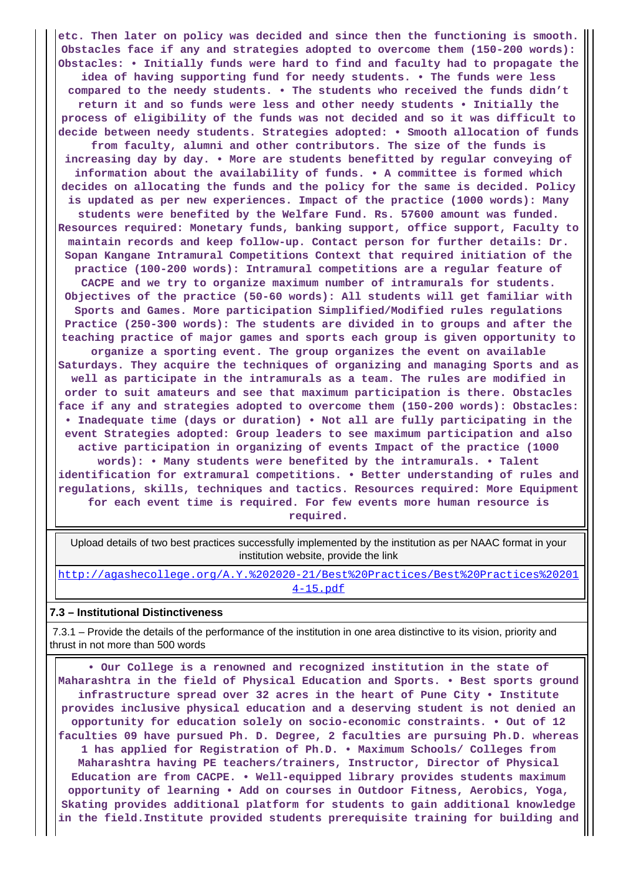**etc. Then later on policy was decided and since then the functioning is smooth. Obstacles face if any and strategies adopted to overcome them (150-200 words): Obstacles: • Initially funds were hard to find and faculty had to propagate the idea of having supporting fund for needy students. • The funds were less compared to the needy students. • The students who received the funds didn't return it and so funds were less and other needy students • Initially the process of eligibility of the funds was not decided and so it was difficult to decide between needy students. Strategies adopted: • Smooth allocation of funds from faculty, alumni and other contributors. The size of the funds is increasing day by day. • More are students benefitted by regular conveying of information about the availability of funds. • A committee is formed which decides on allocating the funds and the policy for the same is decided. Policy is updated as per new experiences. Impact of the practice (1000 words): Many students were benefited by the Welfare Fund. Rs. 57600 amount was funded. Resources required: Monetary funds, banking support, office support, Faculty to maintain records and keep follow-up. Contact person for further details: Dr. Sopan Kangane Intramural Competitions Context that required initiation of the practice (100-200 words): Intramural competitions are a regular feature of CACPE and we try to organize maximum number of intramurals for students. Objectives of the practice (50-60 words): All students will get familiar with Sports and Games. More participation Simplified/Modified rules regulations Practice (250-300 words): The students are divided in to groups and after the teaching practice of major games and sports each group is given opportunity to organize a sporting event. The group organizes the event on available Saturdays. They acquire the techniques of organizing and managing Sports and as well as participate in the intramurals as a team. The rules are modified in order to suit amateurs and see that maximum participation is there. Obstacles face if any and strategies adopted to overcome them (150-200 words): Obstacles: • Inadequate time (days or duration) • Not all are fully participating in the event Strategies adopted: Group leaders to see maximum participation and also active participation in organizing of events Impact of the practice (1000 words): • Many students were benefited by the intramurals. • Talent identification for extramural competitions. • Better understanding of rules and regulations, skills, techniques and tactics. Resources required: More Equipment for each event time is required. For few events more human resource is required.**

 Upload details of two best practices successfully implemented by the institution as per NAAC format in your institution website, provide the link

[http://agashecollege.org/A.Y.%202020-21/Best%20Practices/Best%20Practices%20201](http://agashecollege.org/A.Y.%202020-21/Best%20Practices/Best%20Practices%202014-15.pdf) [4-15.pdf](http://agashecollege.org/A.Y.%202020-21/Best%20Practices/Best%20Practices%202014-15.pdf)

#### **7.3 – Institutional Distinctiveness**

 7.3.1 – Provide the details of the performance of the institution in one area distinctive to its vision, priority and thrust in not more than 500 words

 **• Our College is a renowned and recognized institution in the state of Maharashtra in the field of Physical Education and Sports. • Best sports ground infrastructure spread over 32 acres in the heart of Pune City • Institute provides inclusive physical education and a deserving student is not denied an opportunity for education solely on socio-economic constraints. • Out of 12 faculties 09 have pursued Ph. D. Degree, 2 faculties are pursuing Ph.D. whereas 1 has applied for Registration of Ph.D. • Maximum Schools/ Colleges from Maharashtra having PE teachers/trainers, Instructor, Director of Physical Education are from CACPE. • Well-equipped library provides students maximum opportunity of learning • Add on courses in Outdoor Fitness, Aerobics, Yoga, Skating provides additional platform for students to gain additional knowledge in the field.Institute provided students prerequisite training for building and**